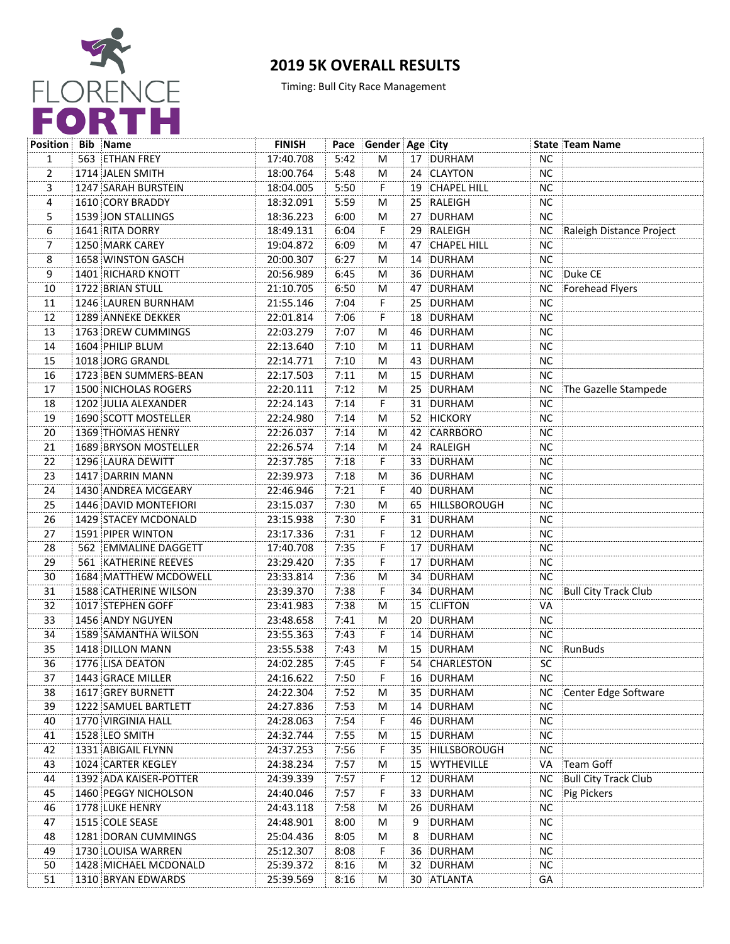

## **2019 5K OVERALL RESULTS**

Timing: Bull City Race Management

| <b>Position Bib Name</b> |                              | <b>FINISH</b> |      | Pace Gender Age City |   |                 |           | <b>State Team Name</b>      |
|--------------------------|------------------------------|---------------|------|----------------------|---|-----------------|-----------|-----------------------------|
| 1                        | 563 ETHAN FREY               | 17:40.708     | 5:42 | M                    |   | 17 DURHAM       | NC.       |                             |
| $\overline{2}$           | 1714 JALEN SMITH             | 18:00.764     | 5:48 | м                    |   | 24 CLAYTON      | <b>NC</b> |                             |
| 3                        | 1247 SARAH BURSTEIN          | 18:04.005     | 5:50 | F.                   |   | 19 CHAPEL HILL  | <b>NC</b> |                             |
| 4                        | 1610 CORY BRADDY             | 18:32.091     | 5:59 | М                    |   | 25 RALEIGH      | <b>NC</b> |                             |
| 5                        | 1539 JON STALLINGS           | 18:36.223     | 6:00 | M                    |   | 27 DURHAM       | <b>NC</b> |                             |
| 6                        | <b>1641 RITA DORRY</b>       | 18:49.131     | 6:04 | F.                   |   | 29 RALEIGH      | <b>NC</b> | Raleigh Distance Project    |
| 7                        | 1250 MARK CAREY              | 19:04.872     | 6:09 | M                    |   | 47 CHAPEL HILL  | NС        |                             |
| 8                        | 1658 WINSTON GASCH           | 20:00.307     | 6:27 | м                    |   | 14 DURHAM       | NС        |                             |
| 9                        | 1401 RICHARD KNOTT           | 20:56.989     | 6:45 | М                    |   | 36 DURHAM       | NC .      | Duke CE                     |
| 10                       | 1722 BRIAN STULL             | 21:10.705     | 6:50 | М                    |   | 47 DURHAM       | NC.       | Forehead Flyers             |
| 11                       | 1246 LAUREN BURNHAM          | 21:55.146     | 7:04 | F.                   |   | 25 DURHAM       | NС        |                             |
| 12                       | 1289 ANNEKE DEKKER           | 22:01.814     | 7:06 | F                    |   | 18 DURHAM       | <b>NC</b> |                             |
| 13                       | 1763 DREW CUMMINGS           | 22:03.279     | 7:07 | M                    |   | 46 DURHAM       | <b>NC</b> |                             |
| 14                       | 1604 PHILIP BLUM             | 22:13.640     | 7:10 | M                    |   | 11 DURHAM       | NC.       |                             |
| 15                       | 1018 JORG GRANDL             | 22:14.771     | 7:10 | M                    |   | 43 DURHAM       | <b>NC</b> |                             |
| 16                       | 1723 BEN SUMMERS-BEAN        | 22:17.503     | 7:11 | M                    |   | 15 DURHAM       | <b>NC</b> |                             |
| 17                       | <b>1500 NICHOLAS ROGERS</b>  | 22:20.111     | 7:12 | M                    |   | 25 DURHAM       |           | NC The Gazelle Stampede     |
| 18                       | 1202 JULIA ALEXANDER         | 22:24.143     | 7:14 | F.                   |   | 31 DURHAM       | <b>NC</b> |                             |
| 19                       | 1690 SCOTT MOSTELLER         | 22:24.980     | 7:14 | М                    |   | 52 HICKORY      | <b>NC</b> |                             |
| 20                       | 1369 THOMAS HENRY            | 22:26.037     | 7:14 | М                    |   | 42 CARRBORO     | <b>NC</b> |                             |
| 21                       | 1689 BRYSON MOSTELLER        | 22:26.574     | 7:14 | M                    |   | 24 RALEIGH      | <b>NC</b> |                             |
| 22                       | 1296 LAURA DEWITT            | 22:37.785     | 7:18 | F.                   |   | 33 DURHAM       | <b>NC</b> |                             |
| 23                       | 1417 DARRIN MANN             | 22:39.973     | 7:18 | M                    |   | 36 DURHAM       | NC.       |                             |
| 24                       | 1430 ANDREA MCGEARY          | 22:46.946     | 7:21 | F.                   |   | 40 DURHAM       | NC.       |                             |
| 25                       | 1446 DAVID MONTEFIORI        | 23:15.037     | 7:30 | M                    |   | 65 HILLSBOROUGH | NC.       |                             |
| 26                       | 1429 STACEY MCDONALD         | 23:15.938     | 7:30 | F.                   |   | 31 DURHAM       | <b>NC</b> |                             |
| 27                       | 1591 PIPER WINTON            | 23:17.336     | 7:31 | F                    |   | 12 DURHAM       | <b>NC</b> |                             |
| 28                       | 562 EMMALINE DAGGETT         | 17:40.708     | 7:35 | F                    |   | 17 DURHAM       | <b>NC</b> |                             |
| 29                       | 561 KATHERINE REEVES         | 23:29.420     | 7:35 | Ë                    |   | 17 DURHAM       | <b>NC</b> |                             |
| 30                       | 1684 MATTHEW MCDOWELL        | 23:33.814     | 7:36 | м                    |   | 34 DURHAM       | <b>NC</b> |                             |
| 31                       | <b>1588 CATHERINE WILSON</b> | 23:39.370     | 7:38 | F.                   |   | 34 DURHAM       | <b>NC</b> | <b>Bull City Track Club</b> |
| 32                       | 1017 STEPHEN GOFF            | 23:41.983     | 7:38 | М                    |   | 15 CLIFTON      | VA        |                             |
| 33                       | 1456 ANDY NGUYEN             | 23:48.658     | 7:41 | M                    |   | 20 DURHAM       | <b>NC</b> |                             |
| 34                       | 1589 SAMANTHA WILSON         | 23:55.363     | 7:43 | F.                   |   | 14 DURHAM       | <b>NC</b> |                             |
| 35                       | 1418 DILLON MANN             | 23:55.538     | 7:43 | M                    |   | 15 DURHAM       | <b>NC</b> | RunBuds                     |
| 36                       | 1776 LISA DEATON             | 24:02.285     | 7:45 | F.                   |   | 54 CHARLESTON   | SC        |                             |
| 37                       | 1443 GRACE MILLER            | 24:16.622     | 7:50 | F                    |   | 16 DURHAM       | <b>NC</b> |                             |
| 38                       | <b>1617 GREY BURNETT</b>     | 24:22.304     | 7:52 | Μ                    |   | 35 DURHAM       | NC        | Center Edge Software        |
| 39                       | 1222 SAMUEL BARTLETT         | 24:27.836     | 7:53 | M                    |   | 14 DURHAM       | NC        |                             |
| 40                       | 1770 VIRGINIA HALL           | 24:28.063     | 7:54 | F                    |   | 46 DURHAM       | NC.       |                             |
| 41                       | 1528 LEO SMITH               | 24:32.744     | 7:55 | M                    |   | 15 DURHAM       | NC.       |                             |
| 42                       | 1331 ABIGAIL FLYNN           | 24:37.253     | 7:56 | F.                   |   | 35 HILLSBOROUGH | NC        |                             |
| 43                       | 1024 CARTER KEGLEY           | 24:38.234     | 7:57 | M                    |   | 15 WYTHEVILLE   | VA        | Team Goff                   |
| 44                       | 1392 ADA KAISER-POTTER       | 24:39.339     | 7:57 | F                    |   | 12 DURHAM       | <b>NC</b> | <b>Bull City Track Club</b> |
| 45                       | 1460 PEGGY NICHOLSON         | 24:40.046     | 7:57 | F                    |   | 33 DURHAM       | <b>NC</b> | Pig Pickers                 |
| 46                       | 1778 LUKE HENRY              | 24:43.118     | 7:58 | M                    |   | 26 DURHAM       | NC        |                             |
| 47                       | 1515 COLE SEASE              | 24:48.901     | 8:00 | M                    | 9 | DURHAM          | NC        |                             |
| 48                       | 1281 DORAN CUMMINGS          | 25:04.436     | 8:05 | M                    | 8 | DURHAM          | NC        |                             |
| 49                       | 1730 LOUISA WARREN           | 25:12.307     | 8:08 | F.                   |   | 36 DURHAM       | NC        |                             |
| 50                       | 1428 MICHAEL MCDONALD        | 25:39.372     | 8:16 | м                    |   | 32 DURHAM       | NC        |                             |
| 51                       | 1310 BRYAN EDWARDS           | 25:39.569     | 8:16 | М                    |   | 30 ATLANTA      | GА        |                             |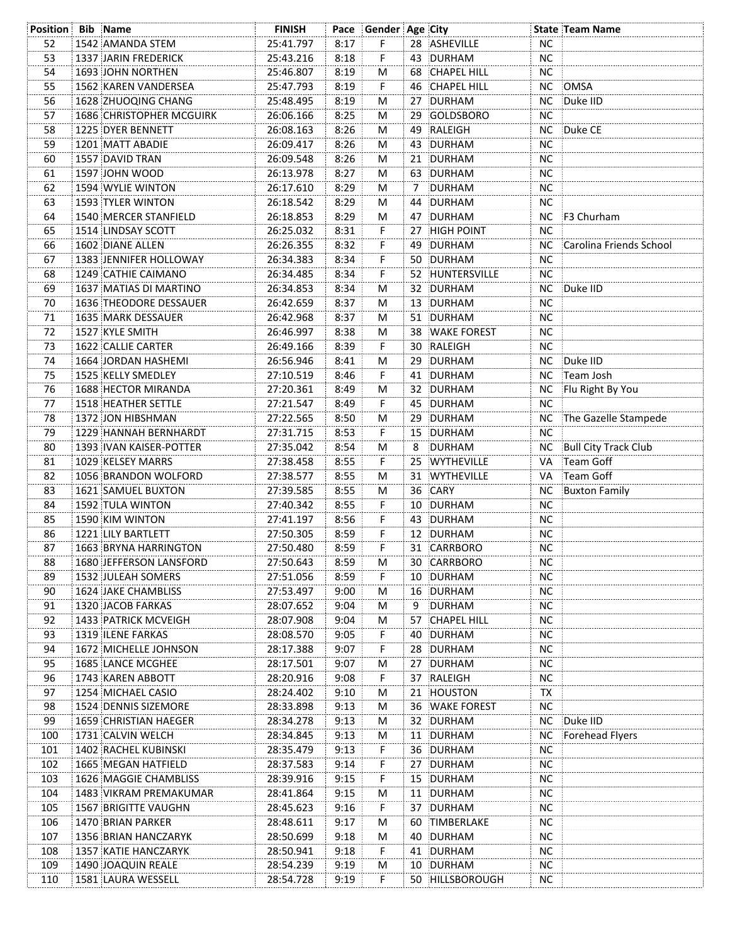| 8:17<br>F.<br>52<br>1542 AMANDA STEM<br>25:41.797<br>28 ASHEVILLE<br>NC.<br>53<br>8:18<br>F<br><b>NC</b><br>1337 JARIN FREDERICK<br>25:43.216<br>43 DURHAM<br>54<br>8:19<br><b>NC</b><br>1693 JOHN NORTHEN<br>25:46.807<br>M<br>68 CHAPEL HILL<br>55<br>8:19<br>1562 KAREN VANDERSEA<br>25:47.793<br>46 CHAPEL HILL<br>NC<br>OMSA<br>F.<br>56<br>8:19<br>1628 ZHUOQING CHANG<br>25:48.495<br>27 DURHAM<br>NC Duke IID<br>М<br>57<br>26:06.166<br>8:25<br>29 GOLDSBORO<br><b>NC</b><br><b>1686 CHRISTOPHER MCGUIRK</b><br>м<br>58<br>8:26<br>49 RALEIGH<br>26:08.163<br>NC Duke CE<br>1225 DYER BENNETT<br>м<br>8:26<br>59<br>26:09.417<br>43 DURHAM<br><b>NC</b><br>1201 MATT ABADIE<br>M<br>8:26<br>60<br>1557 DAVID TRAN<br>26:09.548<br>21 DURHAM<br>NC.<br>м<br>8:27<br>61<br>1597 JOHN WOOD<br>26:13.978<br>63 DURHAM<br><b>NC</b><br>м<br>8:29<br>62<br>1594 WYLIE WINTON<br>26:17.610<br>7 DURHAM<br><b>NC</b><br>м<br>NC<br>63<br>8:29<br>1593 TYLER WINTON<br>26:18.542<br>44 DURHAM<br>м<br>64<br>8:29<br>NC F3 Churham<br>1540 MERCER STANFIELD<br>26:18.853<br>47 DURHAM<br>М<br>8:31<br><b>NC</b><br>65<br>1514 LINDSAY SCOTT<br>26:25.032<br>27 HIGH POINT<br>F.<br>8:32<br>66<br>1602 DIANE ALLEN<br>26:26.355<br>49 DURHAM<br>NC.<br>F.<br>Carolina Friends School<br>8:34<br>67<br>1383 JENNIFER HOLLOWAY<br>26:34.383<br>50 DURHAM<br>NC.<br>F.<br>8:34<br><b>NC</b><br>68<br>1249 CATHIE CAIMANO<br>26:34.485<br>F.<br>52 HUNTERSVILLE<br>8:34<br>32 DURHAM<br>NC Duke IID<br>69<br>1637 MATIAS DI MARTINO<br>26:34.853<br>M<br>70<br>8:37<br><b>NC</b><br>26:42.659<br>13 DURHAM<br>1636 THEODORE DESSAUER<br>M<br>8:37<br>71<br>51 DURHAM<br>NC.<br>1635 MARK DESSAUER<br>26:42.968<br>M<br>8:38<br>72<br>1527 KYLE SMITH<br>26:46.997<br>38 WAKE FOREST<br>NС<br>м<br>73<br>8:39<br>1622 CALLIE CARTER<br>26:49.166<br>30 RALEIGH<br><b>NC</b><br>F.<br>Duke IID<br>74<br>26:56.946<br>8:41<br>29 DURHAM<br>NC<br>1664 JORDAN HASHEMI<br>М<br>8:46<br>Team Josh<br>75<br>1525 KELLY SMEDLEY<br>27:10.519<br>41 DURHAM<br>NC.<br>F.<br>8:49<br>76<br>1688 HECTOR MIRANDA<br>27:20.361<br>32 DURHAM<br>Flu Right By You<br>м<br>NC.<br>77<br>8:49<br><b>1518 HEATHER SETTLE</b><br>27:21.547<br>45 DURHAM<br>NС<br>F.<br>78<br>27:22.565<br>8:50<br>29 DURHAM<br>NC The Gazelle Stampede<br>1372 JON HIBSHMAN<br>М<br>79<br>8:53<br>15 DURHAM<br>NC.<br>1229 HANNAH BERNHARDT<br>27:31.715<br>F.<br><b>Bull City Track Club</b><br>80<br>8:54<br>NC.<br>1393 IVAN KAISER-POTTER<br>27:35.042<br>8<br>DURHAM<br>м<br>Team Goff<br>81<br>1029 KELSEY MARRS<br>8:55<br>25 WYTHEVILLE<br>27:38.458<br>F.<br>VA<br>Team Goff<br>82<br>1056 BRANDON WOLFORD<br>8:55<br>31 WYTHEVILLE<br>27:38.577<br>VA<br>м<br>36 CARY<br><b>Buxton Family</b><br>83<br>1621 SAMUEL BUXTON<br>27:39.585<br>8:55<br><b>NC</b><br>м<br><b>NC</b><br>84<br>8:55<br>10 DURHAM<br>1592 TULA WINTON<br>27:40.342<br>F.<br>F<br><b>NC</b><br>85<br>27:41.197<br>8:56<br>43 DURHAM<br>1590 KIM WINTON<br>86<br><b>NC</b><br>1221 LILY BARTLETT<br>27:50.305<br>8:59<br>F<br>12 DURHAM<br>87<br>27:50.480<br>8:59<br>F.<br>31 CARRBORO<br><b>NC</b><br>1663 BRYNA HARRINGTON<br>1680 JEFFERSON LANSFORD<br>27:50.643<br>8:59<br>30 CARRBORO<br>88<br>NС<br>M<br>27:51.056<br>8:59<br>10 DURHAM<br>89<br>1532 JULEAH SOMERS<br>F.<br>NC.<br><b>1624 JAKE CHAMBLISS</b><br>27:53.497<br>9:00<br>16 DURHAM<br><b>NC</b><br>90<br>м<br>9 DURHAM<br>91<br>1320 JACOB FARKAS<br>28:07.652<br>9:04<br><b>NC</b><br>М<br>1433 PATRICK MCVEIGH<br>28:07.908<br>9:04<br>57 CHAPEL HILL<br><b>NC</b><br>92<br>М<br>93<br>1319 ILENE FARKAS<br>28:08.570<br>9:05<br>F.<br>40 DURHAM<br><b>NC</b><br><b>NC</b><br>94<br>1672 MICHELLE JOHNSON<br>28:17.388<br>9:07<br>F.<br>28 DURHAM<br><b>NC</b><br>95<br>1685 LANCE MCGHEE<br>28:17.501<br>9:07<br>27 DURHAM<br>M<br>96<br>1743 KAREN ABBOTT<br>28:20.916<br>9:08<br>F.<br>37 RALEIGH<br><b>NC</b><br>97<br>1254 MICHAEL CASIO<br>28:24.402<br>9:10<br>21 HOUSTON<br>М<br>TX<br>98<br>1524 DENNIS SIZEMORE<br>28:33.898<br>9:13<br>36 WAKE FOREST<br><b>NC</b><br>м<br>Duke IID<br>99<br>9:13<br>32 DURHAM<br><b>NC</b><br>1659 CHRISTIAN HAEGER<br>28:34.278<br>M<br>1731 CALVIN WELCH<br>9:13<br>11 DURHAM<br><b>NC</b><br>Forehead Flyers<br>100<br>28:34.845<br>м<br>28:35.479<br>9:13<br>36 DURHAM<br><b>NC</b><br>101<br>1402 RACHEL KUBINSKI<br>F.<br>F<br>102<br>1665 MEGAN HATFIELD<br>28:37.583<br>9:14<br>27 DURHAM<br>NC.<br>F<br>103<br>1626 MAGGIE CHAMBLISS<br>28:39.916<br>9:15<br>15 DURHAM<br>NС<br>1483 VIKRAM PREMAKUMAR<br>9:15<br>11 DURHAM<br><b>NC</b><br>104<br>28:41.864<br>Μ<br>F<br>37 DURHAM<br>1567 BRIGITTE VAUGHN<br>9:16<br><b>NC</b><br>105<br>28:45.623<br>106<br>1470 BRIAN PARKER<br>28:48.611<br>9:17<br>60 TIMBERLAKE<br>NC.<br>M<br>1356 BRIAN HANCZARYK<br>28:50.699<br>9:18<br>40 DURHAM<br>NC.<br>107<br>M<br>108<br>1357 KATIE HANCZARYK<br>28:50.941<br>9:18<br>F<br>41 DURHAM<br>NC.<br>1490 JOAQUIN REALE<br>109<br>28:54.239<br>9:19<br>10 DURHAM<br>NC.<br>M<br>1581 LAURA WESSELL | <b>Position Bib Name</b> |  | <b>FINISH</b> |      | Pace Gender Age City |                 |    | <b>State Team Name</b> |
|-----------------------------------------------------------------------------------------------------------------------------------------------------------------------------------------------------------------------------------------------------------------------------------------------------------------------------------------------------------------------------------------------------------------------------------------------------------------------------------------------------------------------------------------------------------------------------------------------------------------------------------------------------------------------------------------------------------------------------------------------------------------------------------------------------------------------------------------------------------------------------------------------------------------------------------------------------------------------------------------------------------------------------------------------------------------------------------------------------------------------------------------------------------------------------------------------------------------------------------------------------------------------------------------------------------------------------------------------------------------------------------------------------------------------------------------------------------------------------------------------------------------------------------------------------------------------------------------------------------------------------------------------------------------------------------------------------------------------------------------------------------------------------------------------------------------------------------------------------------------------------------------------------------------------------------------------------------------------------------------------------------------------------------------------------------------------------------------------------------------------------------------------------------------------------------------------------------------------------------------------------------------------------------------------------------------------------------------------------------------------------------------------------------------------------------------------------------------------------------------------------------------------------------------------------------------------------------------------------------------------------------------------------------------------------------------------------------------------------------------------------------------------------------------------------------------------------------------------------------------------------------------------------------------------------------------------------------------------------------------------------------------------------------------------------------------------------------------------------------------------------------------------------------------------------------------------------------------------------------------------------------------------------------------------------------------------------------------------------------------------------------------------------------------------------------------------------------------------------------------------------------------------------------------------------------------------------------------------------------------------------------------------------------------------------------------------------------------------------------------------------------------------------------------------------------------------------------------------------------------------------------------------------------------------------------------------------------------------------------------------------------------------------------------------------------------------------------------------------------------------------------------------------------------------------------------------------------------------------------------------------------------------------------------------------------------------------------------------------------------------------------------------------------------------------------------------------------------------------------------------------------------------------------------------------------------------------------------------------------------------------------------------------------------------------------------------------------------------------------------------------------------------------------------------------------------------------------------------------------------------------------------------------------------------------------------------------------------------------------------------------------------------------------------------------------------|--------------------------|--|---------------|------|----------------------|-----------------|----|------------------------|
|                                                                                                                                                                                                                                                                                                                                                                                                                                                                                                                                                                                                                                                                                                                                                                                                                                                                                                                                                                                                                                                                                                                                                                                                                                                                                                                                                                                                                                                                                                                                                                                                                                                                                                                                                                                                                                                                                                                                                                                                                                                                                                                                                                                                                                                                                                                                                                                                                                                                                                                                                                                                                                                                                                                                                                                                                                                                                                                                                                                                                                                                                                                                                                                                                                                                                                                                                                                                                                                                                                                                                                                                                                                                                                                                                                                                                                                                                                                                                                                                                                                                                                                                                                                                                                                                                                                                                                                                                                                                                                                                                                                                                                                                                                                                                                                                                                                                                                                                                                                                                                                                 |                          |  |               |      |                      |                 |    |                        |
|                                                                                                                                                                                                                                                                                                                                                                                                                                                                                                                                                                                                                                                                                                                                                                                                                                                                                                                                                                                                                                                                                                                                                                                                                                                                                                                                                                                                                                                                                                                                                                                                                                                                                                                                                                                                                                                                                                                                                                                                                                                                                                                                                                                                                                                                                                                                                                                                                                                                                                                                                                                                                                                                                                                                                                                                                                                                                                                                                                                                                                                                                                                                                                                                                                                                                                                                                                                                                                                                                                                                                                                                                                                                                                                                                                                                                                                                                                                                                                                                                                                                                                                                                                                                                                                                                                                                                                                                                                                                                                                                                                                                                                                                                                                                                                                                                                                                                                                                                                                                                                                                 |                          |  |               |      |                      |                 |    |                        |
|                                                                                                                                                                                                                                                                                                                                                                                                                                                                                                                                                                                                                                                                                                                                                                                                                                                                                                                                                                                                                                                                                                                                                                                                                                                                                                                                                                                                                                                                                                                                                                                                                                                                                                                                                                                                                                                                                                                                                                                                                                                                                                                                                                                                                                                                                                                                                                                                                                                                                                                                                                                                                                                                                                                                                                                                                                                                                                                                                                                                                                                                                                                                                                                                                                                                                                                                                                                                                                                                                                                                                                                                                                                                                                                                                                                                                                                                                                                                                                                                                                                                                                                                                                                                                                                                                                                                                                                                                                                                                                                                                                                                                                                                                                                                                                                                                                                                                                                                                                                                                                                                 |                          |  |               |      |                      |                 |    |                        |
|                                                                                                                                                                                                                                                                                                                                                                                                                                                                                                                                                                                                                                                                                                                                                                                                                                                                                                                                                                                                                                                                                                                                                                                                                                                                                                                                                                                                                                                                                                                                                                                                                                                                                                                                                                                                                                                                                                                                                                                                                                                                                                                                                                                                                                                                                                                                                                                                                                                                                                                                                                                                                                                                                                                                                                                                                                                                                                                                                                                                                                                                                                                                                                                                                                                                                                                                                                                                                                                                                                                                                                                                                                                                                                                                                                                                                                                                                                                                                                                                                                                                                                                                                                                                                                                                                                                                                                                                                                                                                                                                                                                                                                                                                                                                                                                                                                                                                                                                                                                                                                                                 |                          |  |               |      |                      |                 |    |                        |
|                                                                                                                                                                                                                                                                                                                                                                                                                                                                                                                                                                                                                                                                                                                                                                                                                                                                                                                                                                                                                                                                                                                                                                                                                                                                                                                                                                                                                                                                                                                                                                                                                                                                                                                                                                                                                                                                                                                                                                                                                                                                                                                                                                                                                                                                                                                                                                                                                                                                                                                                                                                                                                                                                                                                                                                                                                                                                                                                                                                                                                                                                                                                                                                                                                                                                                                                                                                                                                                                                                                                                                                                                                                                                                                                                                                                                                                                                                                                                                                                                                                                                                                                                                                                                                                                                                                                                                                                                                                                                                                                                                                                                                                                                                                                                                                                                                                                                                                                                                                                                                                                 |                          |  |               |      |                      |                 |    |                        |
|                                                                                                                                                                                                                                                                                                                                                                                                                                                                                                                                                                                                                                                                                                                                                                                                                                                                                                                                                                                                                                                                                                                                                                                                                                                                                                                                                                                                                                                                                                                                                                                                                                                                                                                                                                                                                                                                                                                                                                                                                                                                                                                                                                                                                                                                                                                                                                                                                                                                                                                                                                                                                                                                                                                                                                                                                                                                                                                                                                                                                                                                                                                                                                                                                                                                                                                                                                                                                                                                                                                                                                                                                                                                                                                                                                                                                                                                                                                                                                                                                                                                                                                                                                                                                                                                                                                                                                                                                                                                                                                                                                                                                                                                                                                                                                                                                                                                                                                                                                                                                                                                 |                          |  |               |      |                      |                 |    |                        |
|                                                                                                                                                                                                                                                                                                                                                                                                                                                                                                                                                                                                                                                                                                                                                                                                                                                                                                                                                                                                                                                                                                                                                                                                                                                                                                                                                                                                                                                                                                                                                                                                                                                                                                                                                                                                                                                                                                                                                                                                                                                                                                                                                                                                                                                                                                                                                                                                                                                                                                                                                                                                                                                                                                                                                                                                                                                                                                                                                                                                                                                                                                                                                                                                                                                                                                                                                                                                                                                                                                                                                                                                                                                                                                                                                                                                                                                                                                                                                                                                                                                                                                                                                                                                                                                                                                                                                                                                                                                                                                                                                                                                                                                                                                                                                                                                                                                                                                                                                                                                                                                                 |                          |  |               |      |                      |                 |    |                        |
|                                                                                                                                                                                                                                                                                                                                                                                                                                                                                                                                                                                                                                                                                                                                                                                                                                                                                                                                                                                                                                                                                                                                                                                                                                                                                                                                                                                                                                                                                                                                                                                                                                                                                                                                                                                                                                                                                                                                                                                                                                                                                                                                                                                                                                                                                                                                                                                                                                                                                                                                                                                                                                                                                                                                                                                                                                                                                                                                                                                                                                                                                                                                                                                                                                                                                                                                                                                                                                                                                                                                                                                                                                                                                                                                                                                                                                                                                                                                                                                                                                                                                                                                                                                                                                                                                                                                                                                                                                                                                                                                                                                                                                                                                                                                                                                                                                                                                                                                                                                                                                                                 |                          |  |               |      |                      |                 |    |                        |
|                                                                                                                                                                                                                                                                                                                                                                                                                                                                                                                                                                                                                                                                                                                                                                                                                                                                                                                                                                                                                                                                                                                                                                                                                                                                                                                                                                                                                                                                                                                                                                                                                                                                                                                                                                                                                                                                                                                                                                                                                                                                                                                                                                                                                                                                                                                                                                                                                                                                                                                                                                                                                                                                                                                                                                                                                                                                                                                                                                                                                                                                                                                                                                                                                                                                                                                                                                                                                                                                                                                                                                                                                                                                                                                                                                                                                                                                                                                                                                                                                                                                                                                                                                                                                                                                                                                                                                                                                                                                                                                                                                                                                                                                                                                                                                                                                                                                                                                                                                                                                                                                 |                          |  |               |      |                      |                 |    |                        |
|                                                                                                                                                                                                                                                                                                                                                                                                                                                                                                                                                                                                                                                                                                                                                                                                                                                                                                                                                                                                                                                                                                                                                                                                                                                                                                                                                                                                                                                                                                                                                                                                                                                                                                                                                                                                                                                                                                                                                                                                                                                                                                                                                                                                                                                                                                                                                                                                                                                                                                                                                                                                                                                                                                                                                                                                                                                                                                                                                                                                                                                                                                                                                                                                                                                                                                                                                                                                                                                                                                                                                                                                                                                                                                                                                                                                                                                                                                                                                                                                                                                                                                                                                                                                                                                                                                                                                                                                                                                                                                                                                                                                                                                                                                                                                                                                                                                                                                                                                                                                                                                                 |                          |  |               |      |                      |                 |    |                        |
|                                                                                                                                                                                                                                                                                                                                                                                                                                                                                                                                                                                                                                                                                                                                                                                                                                                                                                                                                                                                                                                                                                                                                                                                                                                                                                                                                                                                                                                                                                                                                                                                                                                                                                                                                                                                                                                                                                                                                                                                                                                                                                                                                                                                                                                                                                                                                                                                                                                                                                                                                                                                                                                                                                                                                                                                                                                                                                                                                                                                                                                                                                                                                                                                                                                                                                                                                                                                                                                                                                                                                                                                                                                                                                                                                                                                                                                                                                                                                                                                                                                                                                                                                                                                                                                                                                                                                                                                                                                                                                                                                                                                                                                                                                                                                                                                                                                                                                                                                                                                                                                                 |                          |  |               |      |                      |                 |    |                        |
|                                                                                                                                                                                                                                                                                                                                                                                                                                                                                                                                                                                                                                                                                                                                                                                                                                                                                                                                                                                                                                                                                                                                                                                                                                                                                                                                                                                                                                                                                                                                                                                                                                                                                                                                                                                                                                                                                                                                                                                                                                                                                                                                                                                                                                                                                                                                                                                                                                                                                                                                                                                                                                                                                                                                                                                                                                                                                                                                                                                                                                                                                                                                                                                                                                                                                                                                                                                                                                                                                                                                                                                                                                                                                                                                                                                                                                                                                                                                                                                                                                                                                                                                                                                                                                                                                                                                                                                                                                                                                                                                                                                                                                                                                                                                                                                                                                                                                                                                                                                                                                                                 |                          |  |               |      |                      |                 |    |                        |
|                                                                                                                                                                                                                                                                                                                                                                                                                                                                                                                                                                                                                                                                                                                                                                                                                                                                                                                                                                                                                                                                                                                                                                                                                                                                                                                                                                                                                                                                                                                                                                                                                                                                                                                                                                                                                                                                                                                                                                                                                                                                                                                                                                                                                                                                                                                                                                                                                                                                                                                                                                                                                                                                                                                                                                                                                                                                                                                                                                                                                                                                                                                                                                                                                                                                                                                                                                                                                                                                                                                                                                                                                                                                                                                                                                                                                                                                                                                                                                                                                                                                                                                                                                                                                                                                                                                                                                                                                                                                                                                                                                                                                                                                                                                                                                                                                                                                                                                                                                                                                                                                 |                          |  |               |      |                      |                 |    |                        |
|                                                                                                                                                                                                                                                                                                                                                                                                                                                                                                                                                                                                                                                                                                                                                                                                                                                                                                                                                                                                                                                                                                                                                                                                                                                                                                                                                                                                                                                                                                                                                                                                                                                                                                                                                                                                                                                                                                                                                                                                                                                                                                                                                                                                                                                                                                                                                                                                                                                                                                                                                                                                                                                                                                                                                                                                                                                                                                                                                                                                                                                                                                                                                                                                                                                                                                                                                                                                                                                                                                                                                                                                                                                                                                                                                                                                                                                                                                                                                                                                                                                                                                                                                                                                                                                                                                                                                                                                                                                                                                                                                                                                                                                                                                                                                                                                                                                                                                                                                                                                                                                                 |                          |  |               |      |                      |                 |    |                        |
|                                                                                                                                                                                                                                                                                                                                                                                                                                                                                                                                                                                                                                                                                                                                                                                                                                                                                                                                                                                                                                                                                                                                                                                                                                                                                                                                                                                                                                                                                                                                                                                                                                                                                                                                                                                                                                                                                                                                                                                                                                                                                                                                                                                                                                                                                                                                                                                                                                                                                                                                                                                                                                                                                                                                                                                                                                                                                                                                                                                                                                                                                                                                                                                                                                                                                                                                                                                                                                                                                                                                                                                                                                                                                                                                                                                                                                                                                                                                                                                                                                                                                                                                                                                                                                                                                                                                                                                                                                                                                                                                                                                                                                                                                                                                                                                                                                                                                                                                                                                                                                                                 |                          |  |               |      |                      |                 |    |                        |
|                                                                                                                                                                                                                                                                                                                                                                                                                                                                                                                                                                                                                                                                                                                                                                                                                                                                                                                                                                                                                                                                                                                                                                                                                                                                                                                                                                                                                                                                                                                                                                                                                                                                                                                                                                                                                                                                                                                                                                                                                                                                                                                                                                                                                                                                                                                                                                                                                                                                                                                                                                                                                                                                                                                                                                                                                                                                                                                                                                                                                                                                                                                                                                                                                                                                                                                                                                                                                                                                                                                                                                                                                                                                                                                                                                                                                                                                                                                                                                                                                                                                                                                                                                                                                                                                                                                                                                                                                                                                                                                                                                                                                                                                                                                                                                                                                                                                                                                                                                                                                                                                 |                          |  |               |      |                      |                 |    |                        |
|                                                                                                                                                                                                                                                                                                                                                                                                                                                                                                                                                                                                                                                                                                                                                                                                                                                                                                                                                                                                                                                                                                                                                                                                                                                                                                                                                                                                                                                                                                                                                                                                                                                                                                                                                                                                                                                                                                                                                                                                                                                                                                                                                                                                                                                                                                                                                                                                                                                                                                                                                                                                                                                                                                                                                                                                                                                                                                                                                                                                                                                                                                                                                                                                                                                                                                                                                                                                                                                                                                                                                                                                                                                                                                                                                                                                                                                                                                                                                                                                                                                                                                                                                                                                                                                                                                                                                                                                                                                                                                                                                                                                                                                                                                                                                                                                                                                                                                                                                                                                                                                                 |                          |  |               |      |                      |                 |    |                        |
|                                                                                                                                                                                                                                                                                                                                                                                                                                                                                                                                                                                                                                                                                                                                                                                                                                                                                                                                                                                                                                                                                                                                                                                                                                                                                                                                                                                                                                                                                                                                                                                                                                                                                                                                                                                                                                                                                                                                                                                                                                                                                                                                                                                                                                                                                                                                                                                                                                                                                                                                                                                                                                                                                                                                                                                                                                                                                                                                                                                                                                                                                                                                                                                                                                                                                                                                                                                                                                                                                                                                                                                                                                                                                                                                                                                                                                                                                                                                                                                                                                                                                                                                                                                                                                                                                                                                                                                                                                                                                                                                                                                                                                                                                                                                                                                                                                                                                                                                                                                                                                                                 |                          |  |               |      |                      |                 |    |                        |
|                                                                                                                                                                                                                                                                                                                                                                                                                                                                                                                                                                                                                                                                                                                                                                                                                                                                                                                                                                                                                                                                                                                                                                                                                                                                                                                                                                                                                                                                                                                                                                                                                                                                                                                                                                                                                                                                                                                                                                                                                                                                                                                                                                                                                                                                                                                                                                                                                                                                                                                                                                                                                                                                                                                                                                                                                                                                                                                                                                                                                                                                                                                                                                                                                                                                                                                                                                                                                                                                                                                                                                                                                                                                                                                                                                                                                                                                                                                                                                                                                                                                                                                                                                                                                                                                                                                                                                                                                                                                                                                                                                                                                                                                                                                                                                                                                                                                                                                                                                                                                                                                 |                          |  |               |      |                      |                 |    |                        |
|                                                                                                                                                                                                                                                                                                                                                                                                                                                                                                                                                                                                                                                                                                                                                                                                                                                                                                                                                                                                                                                                                                                                                                                                                                                                                                                                                                                                                                                                                                                                                                                                                                                                                                                                                                                                                                                                                                                                                                                                                                                                                                                                                                                                                                                                                                                                                                                                                                                                                                                                                                                                                                                                                                                                                                                                                                                                                                                                                                                                                                                                                                                                                                                                                                                                                                                                                                                                                                                                                                                                                                                                                                                                                                                                                                                                                                                                                                                                                                                                                                                                                                                                                                                                                                                                                                                                                                                                                                                                                                                                                                                                                                                                                                                                                                                                                                                                                                                                                                                                                                                                 |                          |  |               |      |                      |                 |    |                        |
|                                                                                                                                                                                                                                                                                                                                                                                                                                                                                                                                                                                                                                                                                                                                                                                                                                                                                                                                                                                                                                                                                                                                                                                                                                                                                                                                                                                                                                                                                                                                                                                                                                                                                                                                                                                                                                                                                                                                                                                                                                                                                                                                                                                                                                                                                                                                                                                                                                                                                                                                                                                                                                                                                                                                                                                                                                                                                                                                                                                                                                                                                                                                                                                                                                                                                                                                                                                                                                                                                                                                                                                                                                                                                                                                                                                                                                                                                                                                                                                                                                                                                                                                                                                                                                                                                                                                                                                                                                                                                                                                                                                                                                                                                                                                                                                                                                                                                                                                                                                                                                                                 |                          |  |               |      |                      |                 |    |                        |
|                                                                                                                                                                                                                                                                                                                                                                                                                                                                                                                                                                                                                                                                                                                                                                                                                                                                                                                                                                                                                                                                                                                                                                                                                                                                                                                                                                                                                                                                                                                                                                                                                                                                                                                                                                                                                                                                                                                                                                                                                                                                                                                                                                                                                                                                                                                                                                                                                                                                                                                                                                                                                                                                                                                                                                                                                                                                                                                                                                                                                                                                                                                                                                                                                                                                                                                                                                                                                                                                                                                                                                                                                                                                                                                                                                                                                                                                                                                                                                                                                                                                                                                                                                                                                                                                                                                                                                                                                                                                                                                                                                                                                                                                                                                                                                                                                                                                                                                                                                                                                                                                 |                          |  |               |      |                      |                 |    |                        |
|                                                                                                                                                                                                                                                                                                                                                                                                                                                                                                                                                                                                                                                                                                                                                                                                                                                                                                                                                                                                                                                                                                                                                                                                                                                                                                                                                                                                                                                                                                                                                                                                                                                                                                                                                                                                                                                                                                                                                                                                                                                                                                                                                                                                                                                                                                                                                                                                                                                                                                                                                                                                                                                                                                                                                                                                                                                                                                                                                                                                                                                                                                                                                                                                                                                                                                                                                                                                                                                                                                                                                                                                                                                                                                                                                                                                                                                                                                                                                                                                                                                                                                                                                                                                                                                                                                                                                                                                                                                                                                                                                                                                                                                                                                                                                                                                                                                                                                                                                                                                                                                                 |                          |  |               |      |                      |                 |    |                        |
|                                                                                                                                                                                                                                                                                                                                                                                                                                                                                                                                                                                                                                                                                                                                                                                                                                                                                                                                                                                                                                                                                                                                                                                                                                                                                                                                                                                                                                                                                                                                                                                                                                                                                                                                                                                                                                                                                                                                                                                                                                                                                                                                                                                                                                                                                                                                                                                                                                                                                                                                                                                                                                                                                                                                                                                                                                                                                                                                                                                                                                                                                                                                                                                                                                                                                                                                                                                                                                                                                                                                                                                                                                                                                                                                                                                                                                                                                                                                                                                                                                                                                                                                                                                                                                                                                                                                                                                                                                                                                                                                                                                                                                                                                                                                                                                                                                                                                                                                                                                                                                                                 |                          |  |               |      |                      |                 |    |                        |
|                                                                                                                                                                                                                                                                                                                                                                                                                                                                                                                                                                                                                                                                                                                                                                                                                                                                                                                                                                                                                                                                                                                                                                                                                                                                                                                                                                                                                                                                                                                                                                                                                                                                                                                                                                                                                                                                                                                                                                                                                                                                                                                                                                                                                                                                                                                                                                                                                                                                                                                                                                                                                                                                                                                                                                                                                                                                                                                                                                                                                                                                                                                                                                                                                                                                                                                                                                                                                                                                                                                                                                                                                                                                                                                                                                                                                                                                                                                                                                                                                                                                                                                                                                                                                                                                                                                                                                                                                                                                                                                                                                                                                                                                                                                                                                                                                                                                                                                                                                                                                                                                 |                          |  |               |      |                      |                 |    |                        |
|                                                                                                                                                                                                                                                                                                                                                                                                                                                                                                                                                                                                                                                                                                                                                                                                                                                                                                                                                                                                                                                                                                                                                                                                                                                                                                                                                                                                                                                                                                                                                                                                                                                                                                                                                                                                                                                                                                                                                                                                                                                                                                                                                                                                                                                                                                                                                                                                                                                                                                                                                                                                                                                                                                                                                                                                                                                                                                                                                                                                                                                                                                                                                                                                                                                                                                                                                                                                                                                                                                                                                                                                                                                                                                                                                                                                                                                                                                                                                                                                                                                                                                                                                                                                                                                                                                                                                                                                                                                                                                                                                                                                                                                                                                                                                                                                                                                                                                                                                                                                                                                                 |                          |  |               |      |                      |                 |    |                        |
|                                                                                                                                                                                                                                                                                                                                                                                                                                                                                                                                                                                                                                                                                                                                                                                                                                                                                                                                                                                                                                                                                                                                                                                                                                                                                                                                                                                                                                                                                                                                                                                                                                                                                                                                                                                                                                                                                                                                                                                                                                                                                                                                                                                                                                                                                                                                                                                                                                                                                                                                                                                                                                                                                                                                                                                                                                                                                                                                                                                                                                                                                                                                                                                                                                                                                                                                                                                                                                                                                                                                                                                                                                                                                                                                                                                                                                                                                                                                                                                                                                                                                                                                                                                                                                                                                                                                                                                                                                                                                                                                                                                                                                                                                                                                                                                                                                                                                                                                                                                                                                                                 |                          |  |               |      |                      |                 |    |                        |
|                                                                                                                                                                                                                                                                                                                                                                                                                                                                                                                                                                                                                                                                                                                                                                                                                                                                                                                                                                                                                                                                                                                                                                                                                                                                                                                                                                                                                                                                                                                                                                                                                                                                                                                                                                                                                                                                                                                                                                                                                                                                                                                                                                                                                                                                                                                                                                                                                                                                                                                                                                                                                                                                                                                                                                                                                                                                                                                                                                                                                                                                                                                                                                                                                                                                                                                                                                                                                                                                                                                                                                                                                                                                                                                                                                                                                                                                                                                                                                                                                                                                                                                                                                                                                                                                                                                                                                                                                                                                                                                                                                                                                                                                                                                                                                                                                                                                                                                                                                                                                                                                 |                          |  |               |      |                      |                 |    |                        |
|                                                                                                                                                                                                                                                                                                                                                                                                                                                                                                                                                                                                                                                                                                                                                                                                                                                                                                                                                                                                                                                                                                                                                                                                                                                                                                                                                                                                                                                                                                                                                                                                                                                                                                                                                                                                                                                                                                                                                                                                                                                                                                                                                                                                                                                                                                                                                                                                                                                                                                                                                                                                                                                                                                                                                                                                                                                                                                                                                                                                                                                                                                                                                                                                                                                                                                                                                                                                                                                                                                                                                                                                                                                                                                                                                                                                                                                                                                                                                                                                                                                                                                                                                                                                                                                                                                                                                                                                                                                                                                                                                                                                                                                                                                                                                                                                                                                                                                                                                                                                                                                                 |                          |  |               |      |                      |                 |    |                        |
|                                                                                                                                                                                                                                                                                                                                                                                                                                                                                                                                                                                                                                                                                                                                                                                                                                                                                                                                                                                                                                                                                                                                                                                                                                                                                                                                                                                                                                                                                                                                                                                                                                                                                                                                                                                                                                                                                                                                                                                                                                                                                                                                                                                                                                                                                                                                                                                                                                                                                                                                                                                                                                                                                                                                                                                                                                                                                                                                                                                                                                                                                                                                                                                                                                                                                                                                                                                                                                                                                                                                                                                                                                                                                                                                                                                                                                                                                                                                                                                                                                                                                                                                                                                                                                                                                                                                                                                                                                                                                                                                                                                                                                                                                                                                                                                                                                                                                                                                                                                                                                                                 |                          |  |               |      |                      |                 |    |                        |
|                                                                                                                                                                                                                                                                                                                                                                                                                                                                                                                                                                                                                                                                                                                                                                                                                                                                                                                                                                                                                                                                                                                                                                                                                                                                                                                                                                                                                                                                                                                                                                                                                                                                                                                                                                                                                                                                                                                                                                                                                                                                                                                                                                                                                                                                                                                                                                                                                                                                                                                                                                                                                                                                                                                                                                                                                                                                                                                                                                                                                                                                                                                                                                                                                                                                                                                                                                                                                                                                                                                                                                                                                                                                                                                                                                                                                                                                                                                                                                                                                                                                                                                                                                                                                                                                                                                                                                                                                                                                                                                                                                                                                                                                                                                                                                                                                                                                                                                                                                                                                                                                 |                          |  |               |      |                      |                 |    |                        |
|                                                                                                                                                                                                                                                                                                                                                                                                                                                                                                                                                                                                                                                                                                                                                                                                                                                                                                                                                                                                                                                                                                                                                                                                                                                                                                                                                                                                                                                                                                                                                                                                                                                                                                                                                                                                                                                                                                                                                                                                                                                                                                                                                                                                                                                                                                                                                                                                                                                                                                                                                                                                                                                                                                                                                                                                                                                                                                                                                                                                                                                                                                                                                                                                                                                                                                                                                                                                                                                                                                                                                                                                                                                                                                                                                                                                                                                                                                                                                                                                                                                                                                                                                                                                                                                                                                                                                                                                                                                                                                                                                                                                                                                                                                                                                                                                                                                                                                                                                                                                                                                                 |                          |  |               |      |                      |                 |    |                        |
|                                                                                                                                                                                                                                                                                                                                                                                                                                                                                                                                                                                                                                                                                                                                                                                                                                                                                                                                                                                                                                                                                                                                                                                                                                                                                                                                                                                                                                                                                                                                                                                                                                                                                                                                                                                                                                                                                                                                                                                                                                                                                                                                                                                                                                                                                                                                                                                                                                                                                                                                                                                                                                                                                                                                                                                                                                                                                                                                                                                                                                                                                                                                                                                                                                                                                                                                                                                                                                                                                                                                                                                                                                                                                                                                                                                                                                                                                                                                                                                                                                                                                                                                                                                                                                                                                                                                                                                                                                                                                                                                                                                                                                                                                                                                                                                                                                                                                                                                                                                                                                                                 |                          |  |               |      |                      |                 |    |                        |
|                                                                                                                                                                                                                                                                                                                                                                                                                                                                                                                                                                                                                                                                                                                                                                                                                                                                                                                                                                                                                                                                                                                                                                                                                                                                                                                                                                                                                                                                                                                                                                                                                                                                                                                                                                                                                                                                                                                                                                                                                                                                                                                                                                                                                                                                                                                                                                                                                                                                                                                                                                                                                                                                                                                                                                                                                                                                                                                                                                                                                                                                                                                                                                                                                                                                                                                                                                                                                                                                                                                                                                                                                                                                                                                                                                                                                                                                                                                                                                                                                                                                                                                                                                                                                                                                                                                                                                                                                                                                                                                                                                                                                                                                                                                                                                                                                                                                                                                                                                                                                                                                 |                          |  |               |      |                      |                 |    |                        |
|                                                                                                                                                                                                                                                                                                                                                                                                                                                                                                                                                                                                                                                                                                                                                                                                                                                                                                                                                                                                                                                                                                                                                                                                                                                                                                                                                                                                                                                                                                                                                                                                                                                                                                                                                                                                                                                                                                                                                                                                                                                                                                                                                                                                                                                                                                                                                                                                                                                                                                                                                                                                                                                                                                                                                                                                                                                                                                                                                                                                                                                                                                                                                                                                                                                                                                                                                                                                                                                                                                                                                                                                                                                                                                                                                                                                                                                                                                                                                                                                                                                                                                                                                                                                                                                                                                                                                                                                                                                                                                                                                                                                                                                                                                                                                                                                                                                                                                                                                                                                                                                                 |                          |  |               |      |                      |                 |    |                        |
|                                                                                                                                                                                                                                                                                                                                                                                                                                                                                                                                                                                                                                                                                                                                                                                                                                                                                                                                                                                                                                                                                                                                                                                                                                                                                                                                                                                                                                                                                                                                                                                                                                                                                                                                                                                                                                                                                                                                                                                                                                                                                                                                                                                                                                                                                                                                                                                                                                                                                                                                                                                                                                                                                                                                                                                                                                                                                                                                                                                                                                                                                                                                                                                                                                                                                                                                                                                                                                                                                                                                                                                                                                                                                                                                                                                                                                                                                                                                                                                                                                                                                                                                                                                                                                                                                                                                                                                                                                                                                                                                                                                                                                                                                                                                                                                                                                                                                                                                                                                                                                                                 |                          |  |               |      |                      |                 |    |                        |
|                                                                                                                                                                                                                                                                                                                                                                                                                                                                                                                                                                                                                                                                                                                                                                                                                                                                                                                                                                                                                                                                                                                                                                                                                                                                                                                                                                                                                                                                                                                                                                                                                                                                                                                                                                                                                                                                                                                                                                                                                                                                                                                                                                                                                                                                                                                                                                                                                                                                                                                                                                                                                                                                                                                                                                                                                                                                                                                                                                                                                                                                                                                                                                                                                                                                                                                                                                                                                                                                                                                                                                                                                                                                                                                                                                                                                                                                                                                                                                                                                                                                                                                                                                                                                                                                                                                                                                                                                                                                                                                                                                                                                                                                                                                                                                                                                                                                                                                                                                                                                                                                 |                          |  |               |      |                      |                 |    |                        |
|                                                                                                                                                                                                                                                                                                                                                                                                                                                                                                                                                                                                                                                                                                                                                                                                                                                                                                                                                                                                                                                                                                                                                                                                                                                                                                                                                                                                                                                                                                                                                                                                                                                                                                                                                                                                                                                                                                                                                                                                                                                                                                                                                                                                                                                                                                                                                                                                                                                                                                                                                                                                                                                                                                                                                                                                                                                                                                                                                                                                                                                                                                                                                                                                                                                                                                                                                                                                                                                                                                                                                                                                                                                                                                                                                                                                                                                                                                                                                                                                                                                                                                                                                                                                                                                                                                                                                                                                                                                                                                                                                                                                                                                                                                                                                                                                                                                                                                                                                                                                                                                                 |                          |  |               |      |                      |                 |    |                        |
|                                                                                                                                                                                                                                                                                                                                                                                                                                                                                                                                                                                                                                                                                                                                                                                                                                                                                                                                                                                                                                                                                                                                                                                                                                                                                                                                                                                                                                                                                                                                                                                                                                                                                                                                                                                                                                                                                                                                                                                                                                                                                                                                                                                                                                                                                                                                                                                                                                                                                                                                                                                                                                                                                                                                                                                                                                                                                                                                                                                                                                                                                                                                                                                                                                                                                                                                                                                                                                                                                                                                                                                                                                                                                                                                                                                                                                                                                                                                                                                                                                                                                                                                                                                                                                                                                                                                                                                                                                                                                                                                                                                                                                                                                                                                                                                                                                                                                                                                                                                                                                                                 |                          |  |               |      |                      |                 |    |                        |
|                                                                                                                                                                                                                                                                                                                                                                                                                                                                                                                                                                                                                                                                                                                                                                                                                                                                                                                                                                                                                                                                                                                                                                                                                                                                                                                                                                                                                                                                                                                                                                                                                                                                                                                                                                                                                                                                                                                                                                                                                                                                                                                                                                                                                                                                                                                                                                                                                                                                                                                                                                                                                                                                                                                                                                                                                                                                                                                                                                                                                                                                                                                                                                                                                                                                                                                                                                                                                                                                                                                                                                                                                                                                                                                                                                                                                                                                                                                                                                                                                                                                                                                                                                                                                                                                                                                                                                                                                                                                                                                                                                                                                                                                                                                                                                                                                                                                                                                                                                                                                                                                 |                          |  |               |      |                      |                 |    |                        |
|                                                                                                                                                                                                                                                                                                                                                                                                                                                                                                                                                                                                                                                                                                                                                                                                                                                                                                                                                                                                                                                                                                                                                                                                                                                                                                                                                                                                                                                                                                                                                                                                                                                                                                                                                                                                                                                                                                                                                                                                                                                                                                                                                                                                                                                                                                                                                                                                                                                                                                                                                                                                                                                                                                                                                                                                                                                                                                                                                                                                                                                                                                                                                                                                                                                                                                                                                                                                                                                                                                                                                                                                                                                                                                                                                                                                                                                                                                                                                                                                                                                                                                                                                                                                                                                                                                                                                                                                                                                                                                                                                                                                                                                                                                                                                                                                                                                                                                                                                                                                                                                                 |                          |  |               |      |                      |                 |    |                        |
|                                                                                                                                                                                                                                                                                                                                                                                                                                                                                                                                                                                                                                                                                                                                                                                                                                                                                                                                                                                                                                                                                                                                                                                                                                                                                                                                                                                                                                                                                                                                                                                                                                                                                                                                                                                                                                                                                                                                                                                                                                                                                                                                                                                                                                                                                                                                                                                                                                                                                                                                                                                                                                                                                                                                                                                                                                                                                                                                                                                                                                                                                                                                                                                                                                                                                                                                                                                                                                                                                                                                                                                                                                                                                                                                                                                                                                                                                                                                                                                                                                                                                                                                                                                                                                                                                                                                                                                                                                                                                                                                                                                                                                                                                                                                                                                                                                                                                                                                                                                                                                                                 |                          |  |               |      |                      |                 |    |                        |
|                                                                                                                                                                                                                                                                                                                                                                                                                                                                                                                                                                                                                                                                                                                                                                                                                                                                                                                                                                                                                                                                                                                                                                                                                                                                                                                                                                                                                                                                                                                                                                                                                                                                                                                                                                                                                                                                                                                                                                                                                                                                                                                                                                                                                                                                                                                                                                                                                                                                                                                                                                                                                                                                                                                                                                                                                                                                                                                                                                                                                                                                                                                                                                                                                                                                                                                                                                                                                                                                                                                                                                                                                                                                                                                                                                                                                                                                                                                                                                                                                                                                                                                                                                                                                                                                                                                                                                                                                                                                                                                                                                                                                                                                                                                                                                                                                                                                                                                                                                                                                                                                 |                          |  |               |      |                      |                 |    |                        |
|                                                                                                                                                                                                                                                                                                                                                                                                                                                                                                                                                                                                                                                                                                                                                                                                                                                                                                                                                                                                                                                                                                                                                                                                                                                                                                                                                                                                                                                                                                                                                                                                                                                                                                                                                                                                                                                                                                                                                                                                                                                                                                                                                                                                                                                                                                                                                                                                                                                                                                                                                                                                                                                                                                                                                                                                                                                                                                                                                                                                                                                                                                                                                                                                                                                                                                                                                                                                                                                                                                                                                                                                                                                                                                                                                                                                                                                                                                                                                                                                                                                                                                                                                                                                                                                                                                                                                                                                                                                                                                                                                                                                                                                                                                                                                                                                                                                                                                                                                                                                                                                                 |                          |  |               |      |                      |                 |    |                        |
|                                                                                                                                                                                                                                                                                                                                                                                                                                                                                                                                                                                                                                                                                                                                                                                                                                                                                                                                                                                                                                                                                                                                                                                                                                                                                                                                                                                                                                                                                                                                                                                                                                                                                                                                                                                                                                                                                                                                                                                                                                                                                                                                                                                                                                                                                                                                                                                                                                                                                                                                                                                                                                                                                                                                                                                                                                                                                                                                                                                                                                                                                                                                                                                                                                                                                                                                                                                                                                                                                                                                                                                                                                                                                                                                                                                                                                                                                                                                                                                                                                                                                                                                                                                                                                                                                                                                                                                                                                                                                                                                                                                                                                                                                                                                                                                                                                                                                                                                                                                                                                                                 |                          |  |               |      |                      |                 |    |                        |
|                                                                                                                                                                                                                                                                                                                                                                                                                                                                                                                                                                                                                                                                                                                                                                                                                                                                                                                                                                                                                                                                                                                                                                                                                                                                                                                                                                                                                                                                                                                                                                                                                                                                                                                                                                                                                                                                                                                                                                                                                                                                                                                                                                                                                                                                                                                                                                                                                                                                                                                                                                                                                                                                                                                                                                                                                                                                                                                                                                                                                                                                                                                                                                                                                                                                                                                                                                                                                                                                                                                                                                                                                                                                                                                                                                                                                                                                                                                                                                                                                                                                                                                                                                                                                                                                                                                                                                                                                                                                                                                                                                                                                                                                                                                                                                                                                                                                                                                                                                                                                                                                 |                          |  |               |      |                      |                 |    |                        |
|                                                                                                                                                                                                                                                                                                                                                                                                                                                                                                                                                                                                                                                                                                                                                                                                                                                                                                                                                                                                                                                                                                                                                                                                                                                                                                                                                                                                                                                                                                                                                                                                                                                                                                                                                                                                                                                                                                                                                                                                                                                                                                                                                                                                                                                                                                                                                                                                                                                                                                                                                                                                                                                                                                                                                                                                                                                                                                                                                                                                                                                                                                                                                                                                                                                                                                                                                                                                                                                                                                                                                                                                                                                                                                                                                                                                                                                                                                                                                                                                                                                                                                                                                                                                                                                                                                                                                                                                                                                                                                                                                                                                                                                                                                                                                                                                                                                                                                                                                                                                                                                                 |                          |  |               |      |                      |                 |    |                        |
|                                                                                                                                                                                                                                                                                                                                                                                                                                                                                                                                                                                                                                                                                                                                                                                                                                                                                                                                                                                                                                                                                                                                                                                                                                                                                                                                                                                                                                                                                                                                                                                                                                                                                                                                                                                                                                                                                                                                                                                                                                                                                                                                                                                                                                                                                                                                                                                                                                                                                                                                                                                                                                                                                                                                                                                                                                                                                                                                                                                                                                                                                                                                                                                                                                                                                                                                                                                                                                                                                                                                                                                                                                                                                                                                                                                                                                                                                                                                                                                                                                                                                                                                                                                                                                                                                                                                                                                                                                                                                                                                                                                                                                                                                                                                                                                                                                                                                                                                                                                                                                                                 |                          |  |               |      |                      |                 |    |                        |
|                                                                                                                                                                                                                                                                                                                                                                                                                                                                                                                                                                                                                                                                                                                                                                                                                                                                                                                                                                                                                                                                                                                                                                                                                                                                                                                                                                                                                                                                                                                                                                                                                                                                                                                                                                                                                                                                                                                                                                                                                                                                                                                                                                                                                                                                                                                                                                                                                                                                                                                                                                                                                                                                                                                                                                                                                                                                                                                                                                                                                                                                                                                                                                                                                                                                                                                                                                                                                                                                                                                                                                                                                                                                                                                                                                                                                                                                                                                                                                                                                                                                                                                                                                                                                                                                                                                                                                                                                                                                                                                                                                                                                                                                                                                                                                                                                                                                                                                                                                                                                                                                 |                          |  |               |      |                      |                 |    |                        |
|                                                                                                                                                                                                                                                                                                                                                                                                                                                                                                                                                                                                                                                                                                                                                                                                                                                                                                                                                                                                                                                                                                                                                                                                                                                                                                                                                                                                                                                                                                                                                                                                                                                                                                                                                                                                                                                                                                                                                                                                                                                                                                                                                                                                                                                                                                                                                                                                                                                                                                                                                                                                                                                                                                                                                                                                                                                                                                                                                                                                                                                                                                                                                                                                                                                                                                                                                                                                                                                                                                                                                                                                                                                                                                                                                                                                                                                                                                                                                                                                                                                                                                                                                                                                                                                                                                                                                                                                                                                                                                                                                                                                                                                                                                                                                                                                                                                                                                                                                                                                                                                                 |                          |  |               |      |                      |                 |    |                        |
|                                                                                                                                                                                                                                                                                                                                                                                                                                                                                                                                                                                                                                                                                                                                                                                                                                                                                                                                                                                                                                                                                                                                                                                                                                                                                                                                                                                                                                                                                                                                                                                                                                                                                                                                                                                                                                                                                                                                                                                                                                                                                                                                                                                                                                                                                                                                                                                                                                                                                                                                                                                                                                                                                                                                                                                                                                                                                                                                                                                                                                                                                                                                                                                                                                                                                                                                                                                                                                                                                                                                                                                                                                                                                                                                                                                                                                                                                                                                                                                                                                                                                                                                                                                                                                                                                                                                                                                                                                                                                                                                                                                                                                                                                                                                                                                                                                                                                                                                                                                                                                                                 |                          |  |               |      |                      |                 |    |                        |
|                                                                                                                                                                                                                                                                                                                                                                                                                                                                                                                                                                                                                                                                                                                                                                                                                                                                                                                                                                                                                                                                                                                                                                                                                                                                                                                                                                                                                                                                                                                                                                                                                                                                                                                                                                                                                                                                                                                                                                                                                                                                                                                                                                                                                                                                                                                                                                                                                                                                                                                                                                                                                                                                                                                                                                                                                                                                                                                                                                                                                                                                                                                                                                                                                                                                                                                                                                                                                                                                                                                                                                                                                                                                                                                                                                                                                                                                                                                                                                                                                                                                                                                                                                                                                                                                                                                                                                                                                                                                                                                                                                                                                                                                                                                                                                                                                                                                                                                                                                                                                                                                 |                          |  |               |      |                      |                 |    |                        |
|                                                                                                                                                                                                                                                                                                                                                                                                                                                                                                                                                                                                                                                                                                                                                                                                                                                                                                                                                                                                                                                                                                                                                                                                                                                                                                                                                                                                                                                                                                                                                                                                                                                                                                                                                                                                                                                                                                                                                                                                                                                                                                                                                                                                                                                                                                                                                                                                                                                                                                                                                                                                                                                                                                                                                                                                                                                                                                                                                                                                                                                                                                                                                                                                                                                                                                                                                                                                                                                                                                                                                                                                                                                                                                                                                                                                                                                                                                                                                                                                                                                                                                                                                                                                                                                                                                                                                                                                                                                                                                                                                                                                                                                                                                                                                                                                                                                                                                                                                                                                                                                                 |                          |  |               |      |                      |                 |    |                        |
|                                                                                                                                                                                                                                                                                                                                                                                                                                                                                                                                                                                                                                                                                                                                                                                                                                                                                                                                                                                                                                                                                                                                                                                                                                                                                                                                                                                                                                                                                                                                                                                                                                                                                                                                                                                                                                                                                                                                                                                                                                                                                                                                                                                                                                                                                                                                                                                                                                                                                                                                                                                                                                                                                                                                                                                                                                                                                                                                                                                                                                                                                                                                                                                                                                                                                                                                                                                                                                                                                                                                                                                                                                                                                                                                                                                                                                                                                                                                                                                                                                                                                                                                                                                                                                                                                                                                                                                                                                                                                                                                                                                                                                                                                                                                                                                                                                                                                                                                                                                                                                                                 |                          |  |               |      |                      |                 |    |                        |
|                                                                                                                                                                                                                                                                                                                                                                                                                                                                                                                                                                                                                                                                                                                                                                                                                                                                                                                                                                                                                                                                                                                                                                                                                                                                                                                                                                                                                                                                                                                                                                                                                                                                                                                                                                                                                                                                                                                                                                                                                                                                                                                                                                                                                                                                                                                                                                                                                                                                                                                                                                                                                                                                                                                                                                                                                                                                                                                                                                                                                                                                                                                                                                                                                                                                                                                                                                                                                                                                                                                                                                                                                                                                                                                                                                                                                                                                                                                                                                                                                                                                                                                                                                                                                                                                                                                                                                                                                                                                                                                                                                                                                                                                                                                                                                                                                                                                                                                                                                                                                                                                 |                          |  |               |      |                      |                 |    |                        |
|                                                                                                                                                                                                                                                                                                                                                                                                                                                                                                                                                                                                                                                                                                                                                                                                                                                                                                                                                                                                                                                                                                                                                                                                                                                                                                                                                                                                                                                                                                                                                                                                                                                                                                                                                                                                                                                                                                                                                                                                                                                                                                                                                                                                                                                                                                                                                                                                                                                                                                                                                                                                                                                                                                                                                                                                                                                                                                                                                                                                                                                                                                                                                                                                                                                                                                                                                                                                                                                                                                                                                                                                                                                                                                                                                                                                                                                                                                                                                                                                                                                                                                                                                                                                                                                                                                                                                                                                                                                                                                                                                                                                                                                                                                                                                                                                                                                                                                                                                                                                                                                                 |                          |  |               |      |                      |                 |    |                        |
|                                                                                                                                                                                                                                                                                                                                                                                                                                                                                                                                                                                                                                                                                                                                                                                                                                                                                                                                                                                                                                                                                                                                                                                                                                                                                                                                                                                                                                                                                                                                                                                                                                                                                                                                                                                                                                                                                                                                                                                                                                                                                                                                                                                                                                                                                                                                                                                                                                                                                                                                                                                                                                                                                                                                                                                                                                                                                                                                                                                                                                                                                                                                                                                                                                                                                                                                                                                                                                                                                                                                                                                                                                                                                                                                                                                                                                                                                                                                                                                                                                                                                                                                                                                                                                                                                                                                                                                                                                                                                                                                                                                                                                                                                                                                                                                                                                                                                                                                                                                                                                                                 |                          |  |               |      |                      |                 |    |                        |
|                                                                                                                                                                                                                                                                                                                                                                                                                                                                                                                                                                                                                                                                                                                                                                                                                                                                                                                                                                                                                                                                                                                                                                                                                                                                                                                                                                                                                                                                                                                                                                                                                                                                                                                                                                                                                                                                                                                                                                                                                                                                                                                                                                                                                                                                                                                                                                                                                                                                                                                                                                                                                                                                                                                                                                                                                                                                                                                                                                                                                                                                                                                                                                                                                                                                                                                                                                                                                                                                                                                                                                                                                                                                                                                                                                                                                                                                                                                                                                                                                                                                                                                                                                                                                                                                                                                                                                                                                                                                                                                                                                                                                                                                                                                                                                                                                                                                                                                                                                                                                                                                 | 110                      |  | 28:54.728     | 9:19 | F                    | 50 HILLSBOROUGH | NС |                        |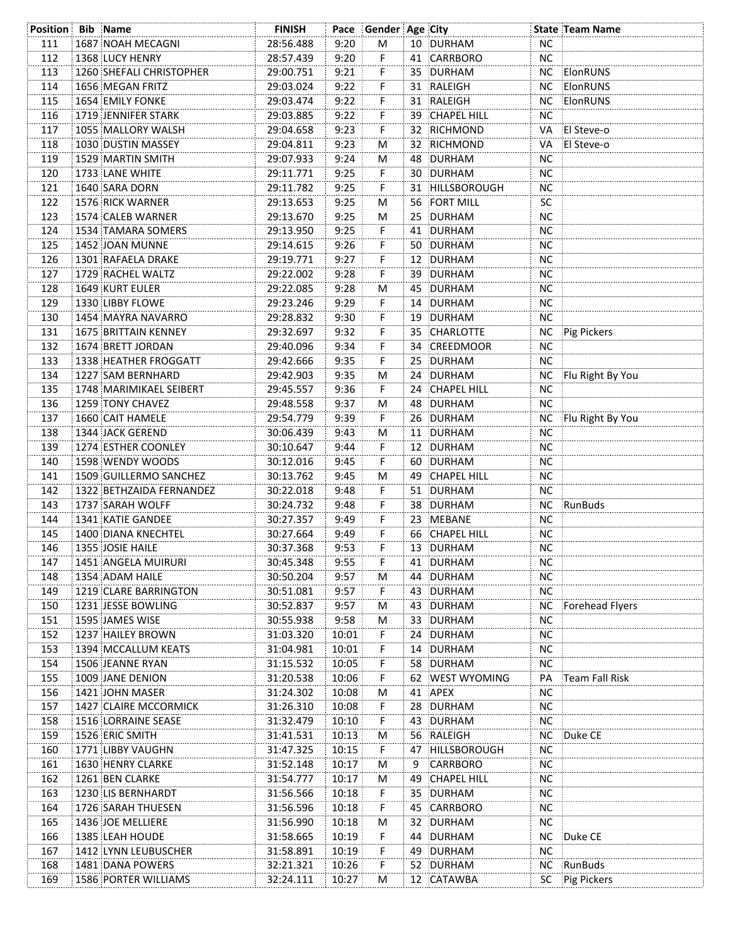| Position Bib Name |                             | <b>FINISH</b> |       | Pace Gender Age City |    |                     |           | <b>State Team Name</b> |
|-------------------|-----------------------------|---------------|-------|----------------------|----|---------------------|-----------|------------------------|
| 111               | 1687 NOAH MECAGNI           | 28:56.488     | 9:20  | М                    |    | 10 DURHAM           | <b>NC</b> |                        |
| 112               | 1368 LUCY HENRY             | 28:57.439     | 9:20  | F                    |    | 41 CARRBORO         | <b>NC</b> |                        |
| 113               | 1260 SHEFALI CHRISTOPHER    | 29:00.751     | 9:21  | F                    |    | 35 DURHAM           |           | NC ElonRUNS            |
| 114               | 1656 MEGAN FRITZ            | 29:03.024     | 9:22  | F                    |    | 31 RALEIGH          | NC        | ElonRUNS               |
| 115               | 1654 EMILY FONKE            | 29:03.474     | 9:22  | F                    |    | 31 RALEIGH          | NC.       | ElonRUNS               |
| 116               | 1719 JENNIFER STARK         | 29:03.885     | 9:22  | F                    |    | 39 CHAPEL HILL      | <b>NC</b> |                        |
| 117               | 1055 MALLORY WALSH          | 29:04.658     | 9:23  | F                    |    | 32 RICHMOND         | VA        | El Steve-o             |
| 118               | 1030 DUSTIN MASSEY          | 29:04.811     | 9:23  | M                    |    | 32 RICHMOND         | VA        | <b>El Steve-o</b>      |
| 119               | 1529 MARTIN SMITH           | 29:07.933     | 9:24  | M                    |    | 48 DURHAM           | NС        |                        |
| 120               | 1733 LANE WHITE             | 29:11.771     | 9:25  | F.                   |    | 30 DURHAM           | <b>NC</b> |                        |
| 121               | 1640 SARA DORN              | 29:11.782     | 9:25  | F                    |    | 31 HILLSBOROUGH     | <b>NC</b> |                        |
| 122               | 1576 RICK WARNER            | 29:13.653     | 9:25  | м                    |    | 56 FORT MILL        | SC        |                        |
| 123               | 1574 CALEB WARNER           | 29:13.670     | 9:25  | М                    |    | 25 DURHAM           | NC        |                        |
| 124               | 1534 TAMARA SOMERS          | 29:13.950     | 9:25  | F.                   |    | 41 DURHAM           | <b>NC</b> |                        |
| 125               | 1452 JOAN MUNNE             | 29:14.615     | 9:26  | F,                   |    | 50 DURHAM           | <b>NC</b> |                        |
|                   | 1301 RAFAELA DRAKE          |               | 9:27  | F.                   |    |                     | NС        |                        |
| 126               | 1729 RACHEL WALTZ           | 29:19.771     | 9:28  |                      |    | 12 DURHAM           | NС        |                        |
| 127               |                             | 29:22.002     |       | F,                   |    | 39 DURHAM           |           |                        |
| 128               | 1649 KURT EULER             | 29:22.085     | 9:28  | M                    |    | 45 DURHAM           | NС        |                        |
| 129               | 1330 LIBBY FLOWE            | 29:23.246     | 9:29  | F.                   |    | 14 DURHAM           | NС        |                        |
| 130               | 1454 MAYRA NAVARRO          | 29:28.832     | 9:30  | F.                   |    | 19 DURHAM           | NС        |                        |
| 131               | <b>1675 BRITTAIN KENNEY</b> | 29:32.697     | 9:32  | F.                   |    | 35 CHARLOTTE        | NC        | Pig Pickers            |
| 132               | 1674 BRETT JORDAN           | 29:40.096     | 9:34  | F                    |    | 34 CREEDMOOR        | <b>NC</b> |                        |
| 133               | 1338 HEATHER FROGGATT       | 29:42.666     | 9:35  | F                    |    | 25 DURHAM           | <b>NC</b> |                        |
| 134               | 1227 SAM BERNHARD           | 29:42.903     | 9:35  | м                    |    | 24 DURHAM           |           | NC Flu Right By You    |
| 135               | 1748 MARIMIKAEL SEIBERT     | 29:45.557     | 9:36  | F.                   |    | 24 CHAPEL HILL      | NС        |                        |
| 136               | 1259 TONY CHAVEZ            | 29:48.558     | 9:37  | M                    |    | 48 DURHAM           | <b>NC</b> |                        |
| 137               | 1660 CAIT HAMELE            | 29:54.779     | 9:39  | F                    |    | 26 DURHAM           |           | NC Flu Right By You    |
| 138               | 1344 JACK GEREND            | 30:06.439     | 9:43  | M                    |    | 11 DURHAM           | <b>NC</b> |                        |
| 139               | 1274 ESTHER COONLEY         | 30:10.647     | 9:44  | F                    |    | 12 DURHAM           | <b>NC</b> |                        |
| 140               | 1598 WENDY WOODS            | 30:12.016     | 9:45  | F                    |    | 60 DURHAM           | <b>NC</b> |                        |
| 141               | 1509 GUILLERMO SANCHEZ      | 30:13.762     | 9:45  | М                    | 49 | CHAPEL HILL         | <b>NC</b> |                        |
| 142               | 1322 BETHZAIDA FERNANDEZ    | 30:22.018     | 9:48  | F                    |    | 51 DURHAM           | <b>NC</b> |                        |
| 143               | 1737 SARAH WOLFF            | 30:24.732     | 9:48  | F                    |    | 38 DURHAM           |           | NC RunBuds             |
| 144               | 1341 KATIE GANDEE           | 30:27.357     | 9:49  | F                    |    | 23 MEBANE           | <b>NC</b> |                        |
| 145               | 1400 DIANA KNECHTEL         | 30:27.664     | 9:49  | F                    |    | 66 CHAPEL HILL      | <b>NC</b> |                        |
| 146               | 1355 JOSIE HAILE            | 30:37.368     | 9:53  | F                    |    | 13 DURHAM           | <b>NC</b> |                        |
| 147               | 1451 ANGELA MUIRURI         | 30:45.348     | 9:55  | F                    |    | 41 DURHAM           | NС        |                        |
| 148               | 1354 ADAM HAILE             | 30:50.204     | 9:57  | М                    |    | 44 DURHAM           | <b>NC</b> |                        |
| 149               | 1219 CLARE BARRINGTON       | 30:51.081     | 9:57  | F                    |    | 43 DURHAM           | <b>NC</b> |                        |
| 150               | 1231 JESSE BOWLING          | 30:52.837     | 9:57  | М                    |    | 43 DURHAM           | <b>NC</b> | Forehead Flyers        |
| 151               | 1595 JAMES WISE             | 30:55.938     | 9:58  | М                    |    | 33 DURHAM           | <b>NC</b> |                        |
| 152               | 1237 HAILEY BROWN           | 31:03.320     | 10:01 | F                    |    | 24 DURHAM           | <b>NC</b> |                        |
| 153               | 1394 MCCALLUM KEATS         | 31:04.981     | 10:01 | F                    | 14 | <b>DURHAM</b>       | <b>NC</b> |                        |
| 154               | 1506 JEANNE RYAN            | 31:15.532     | 10:05 | F                    |    | 58 DURHAM           | <b>NC</b> |                        |
| 155               | 1009 JANE DENION            | 31:20.538     | 10:06 | F                    | 62 | <b>WEST WYOMING</b> | PA        | Team Fall Risk         |
| 156               | 1421 JOHN MASER             | 31:24.302     | 10:08 | М                    | 41 | APEX                | <b>NC</b> |                        |
| 157               | 1427 CLAIRE MCCORMICK       | 31:26.310     | 10:08 | F                    | 28 | DURHAM              | <b>NC</b> |                        |
| 158               | 1516 LORRAINE SEASE         | 31:32.479     | 10:10 | F                    | 43 | DURHAM              | <b>NC</b> |                        |
| 159               | 1526 ERIC SMITH             | 31:41.531     | 10:13 | М                    |    | 56 RALEIGH          | <b>NC</b> | Duke CE                |
| 160               | 1771 LIBBY VAUGHN           | 31:47.325     | 10:15 | F                    | 47 | HILLSBOROUGH        | <b>NC</b> |                        |
|                   |                             |               |       |                      |    |                     |           |                        |
| 161               | <b>1630 HENRY CLARKE</b>    | 31:52.148     | 10:17 | М                    | 9  | CARRBORO            | NС        |                        |
| 162               | 1261 BEN CLARKE             | 31:54.777     | 10:17 | М                    | 49 | CHAPEL HILL         | <b>NC</b> |                        |
| 163               | 1230 LIS BERNHARDT          | 31:56.566     | 10:18 | F                    |    | 35 DURHAM           | <b>NC</b> |                        |
| 164               | 1726 SARAH THUESEN          | 31:56.596     | 10:18 | F                    |    | 45 CARRBORO         | <b>NC</b> |                        |
| 165               | 1436 JOE MELLIERE           | 31:56.990     | 10:18 | M                    | 32 | DURHAM              | NС        |                        |
| 166               | 1385 LEAH HOUDE             | 31:58.665     | 10:19 | F                    | 44 | DURHAM              | NС        | Duke CE                |
| 167               | 1412 LYNN LEUBUSCHER        | 31:58.891     | 10:19 | F                    | 49 | DURHAM              | NС        |                        |
| 168               | 1481 DANA POWERS            | 32:21.321     | 10:26 | F                    |    | 52 DURHAM           | <b>NC</b> | RunBuds                |
| 169               | <b>1586 PORTER WILLIAMS</b> | 32:24.111     | 10:27 | M                    |    | 12 CATAWBA          | SC        | Pig Pickers            |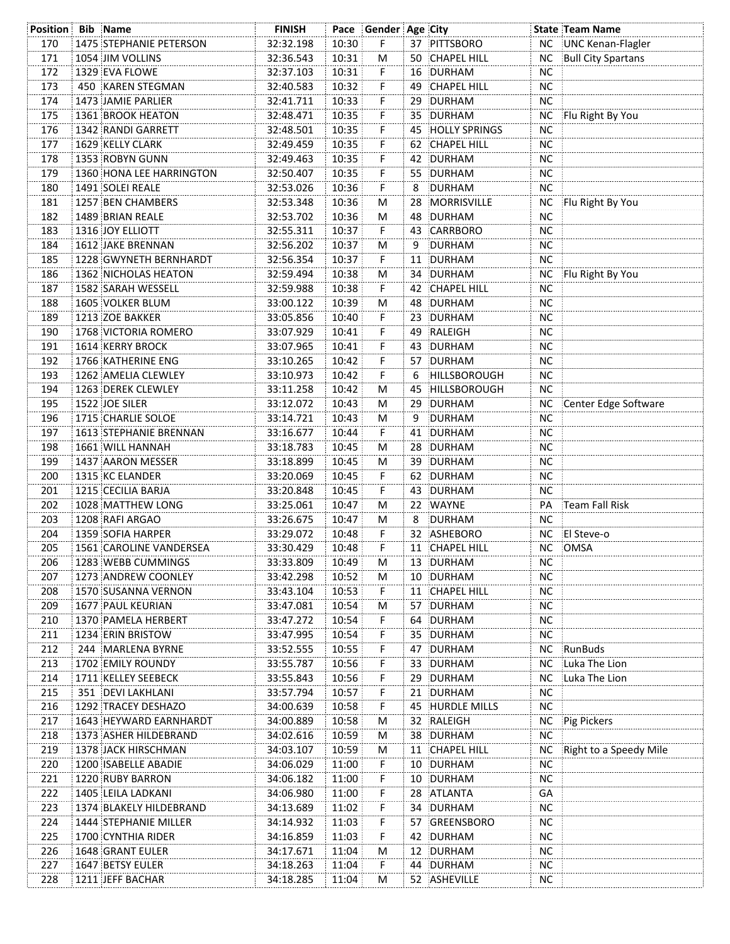| <b>Position Bib Name</b> |                                | <b>FINISH</b> |       | Pace Gender Age City |    |                     |           | <b>State Team Name</b>    |
|--------------------------|--------------------------------|---------------|-------|----------------------|----|---------------------|-----------|---------------------------|
| 170                      | <b>1475 STEPHANIE PETERSON</b> | 32:32.198     | 10:30 | F.                   |    | 37 PITTSBORO        | NC .      | UNC Kenan-Flagler         |
| 171                      | 1054 JIM VOLLINS               | 32:36.543     | 10:31 | M                    |    | 50 CHAPEL HILL      | <b>NC</b> | <b>Bull City Spartans</b> |
| 172                      | 1329 EVA FLOWE                 | 32:37.103     | 10:31 | F.                   |    | 16 DURHAM           | <b>NC</b> |                           |
| 173                      | 450 KAREN STEGMAN              | 32:40.583     | 10:32 | F.                   |    | 49 CHAPEL HILL      | <b>NC</b> |                           |
| 174                      | 1473 JAMIE PARLIER             | 32:41.711     | 10:33 | F.                   |    | 29 DURHAM           | <b>NC</b> |                           |
| 175                      | 1361 BROOK HEATON              | 32:48.471     | 10:35 | F.                   |    | 35 DURHAM           | NC.       | Flu Right By You          |
| 176                      | 1342 RANDI GARRETT             | 32:48.501     | 10:35 | F.                   |    | 45 HOLLY SPRINGS    | <b>NC</b> |                           |
| 177                      | 1629 KELLY CLARK               | 32:49.459     | 10:35 | F.                   |    | 62 CHAPEL HILL      | NС        |                           |
| 178                      | 1353 ROBYN GUNN                | 32:49.463     | 10:35 | F.                   |    | 42 DURHAM           | NС        |                           |
| 179                      | 1360 HONA LEE HARRINGTON       | 32:50.407     | 10:35 | F.                   |    | 55 DURHAM           | <b>NC</b> |                           |
| 180                      | 1491 SOLEI REALE               | 32:53.026     | 10:36 | F.                   | 8  | DURHAM              | <b>NC</b> |                           |
| 181                      | 1257 BEN CHAMBERS              | 32:53.348     | 10:36 | M                    |    | 28 MORRISVILLE      | NC.       | Flu Right By You          |
| 182                      | 1489 BRIAN REALE               | 32:53.702     | 10:36 | M                    |    | 48 DURHAM           | <b>NC</b> |                           |
| 183                      | 1316 JOY ELLIOTT               | 32:55.311     | 10:37 | F.                   |    | 43 CARRBORO         | ΝC        |                           |
| 184                      | 1612 JAKE BRENNAN              | 32:56.202     | 10:37 | M                    | 9  | DURHAM              | <b>NC</b> |                           |
| 185                      | 1228 GWYNETH BERNHARDT         | 32:56.354     | 10:37 | F.                   |    | 11 DURHAM           | NС        |                           |
| 186                      | 1362 NICHOLAS HEATON           | 32:59.494     | 10:38 | М                    |    | 34 DURHAM           | NC.       | Flu Right By You          |
| 187                      | 1582 SARAH WESSELL             | 32:59.988     | 10:38 | F.                   |    | 42 CHAPEL HILL      | NC.       |                           |
| 188                      | 1605 VOLKER BLUM               | 33:00.122     | 10:39 | М                    |    | 48 DURHAM           | <b>NC</b> |                           |
| 189                      | 1213 ZOE BAKKER                | 33:05.856     | 10:40 | F.                   |    | 23 DURHAM           | <b>NC</b> |                           |
| 190                      | 1768 VICTORIA ROMERO           | 33:07.929     | 10:41 | F                    |    | 49 RALEIGH          | <b>NC</b> |                           |
| 191                      | 1614 KERRY BROCK               | 33:07.965     | 10:41 | F.                   |    | 43 DURHAM           | <b>NC</b> |                           |
| 192                      | 1766 KATHERINE ENG             | 33:10.265     | 10:42 | F.                   |    | 57 DURHAM           | <b>NC</b> |                           |
|                          |                                |               |       |                      |    |                     |           |                           |
| 193                      | 1262 AMELIA CLEWLEY            | 33:10.973     | 10:42 | F.                   | 6  | <b>HILLSBOROUGH</b> | <b>NC</b> |                           |
| 194                      | 1263 DEREK CLEWLEY             | 33:11.258     | 10:42 | M                    |    | 45 HILLSBOROUGH     | <b>NC</b> |                           |
| 195                      | 1522 JOE SILER                 | 33:12.072     | 10:43 | M                    |    | 29 DURHAM           |           | NC Center Edge Software   |
| 196                      | 1715 CHARLIE SOLOE             | 33:14.721     | 10:43 | M                    | 9  | DURHAM              | <b>NC</b> |                           |
| 197                      | <b>1613 STEPHANIE BRENNAN</b>  | 33:16.677     | 10:44 | F.                   |    | 41 DURHAM           | <b>NC</b> |                           |
| 198                      | 1661 WILL HANNAH               | 33:18.783     | 10:45 | M                    |    | 28 DURHAM           | <b>NC</b> |                           |
| 199                      | 1437 AARON MESSER              | 33:18.899     | 10:45 | M                    |    | 39 DURHAM           | <b>NC</b> |                           |
| 200                      | 1315 KC ELANDER                | 33:20.069     | 10:45 | F.                   |    | 62 DURHAM           | <b>NC</b> |                           |
| 201                      | 1215 CECILIA BARJA             | 33:20.848     | 10:45 | F.                   |    | 43 DURHAM           | <b>NC</b> |                           |
| 202                      | 1028 MATTHEW LONG              | 33:25.061     | 10:47 | М                    | 22 | <b>WAYNE</b>        | PA        | Team Fall Risk            |
| 203                      | 1208 RAFI ARGAO                | 33:26.675     | 10:47 | М                    | 8  | DURHAM              | <b>NC</b> |                           |
| 204                      | 1359 SOFIA HARPER              | 33:29.072     | 10:48 | F.                   |    | 32 ASHEBORO         | <b>NC</b> | El Steve-o                |
| 205                      | 1561 CAROLINE VANDERSEA        | 33:30.429     | 10:48 | F.                   |    | 11 CHAPEL HILL      | NC        | OMSA                      |
| 206                      | 1283 WEBB CUMMINGS             | 33:33.809     | 10:49 | M                    |    | 13 DURHAM           | NC.       |                           |
| 207                      | 1273 ANDREW COONLEY            | 33:42.298     | 10:52 | M                    |    | 10 DURHAM           | <b>NC</b> |                           |
| 208                      | 1570 SUSANNA VERNON            | 33:43.104     | 10:53 | F.                   |    | 11 CHAPEL HILL      | <b>NC</b> |                           |
| 209                      | 1677 PAUL KEURIAN              | 33:47.081     | 10:54 | М                    |    | 57 DURHAM           | <b>NC</b> |                           |
| 210                      | 1370 PAMELA HERBERT            | 33:47.272     | 10:54 | F.                   |    | 64 DURHAM           | <b>NC</b> |                           |
| 211                      | 1234 ERIN BRISTOW              | 33:47.995     | 10:54 | F.                   |    | 35 DURHAM           | <b>NC</b> |                           |
| 212                      | 244 MARLENA BYRNE              | 33:52.555     | 10:55 | F                    |    | 47 DURHAM           | ΝC        | RunBuds                   |
| 213                      | 1702 EMILY ROUNDY              | 33:55.787     | 10:56 | F                    |    | 33 DURHAM           | <b>NC</b> | Luka The Lion             |
| 214                      | 1711 KELLEY SEEBECK            | 33:55.843     | 10:56 | F                    |    | 29 DURHAM           | <b>NC</b> | Luka The Lion             |
| 215                      | 351 DEVI LAKHLANI              | 33:57.794     | 10:57 | F                    |    | 21 DURHAM           | <b>NC</b> |                           |
| 216                      | 1292 TRACEY DESHAZO            | 34:00.639     | 10:58 | F                    |    | 45 HURDLE MILLS     | NC.       |                           |
| 217                      | <b>1643 HEYWARD EARNHARDT</b>  | 34:00.889     | 10:58 | M                    |    | 32 RALEIGH          | NC.       | Pig Pickers               |
| 218                      | 1373 ASHER HILDEBRAND          | 34:02.616     | 10:59 | М                    |    | 38 DURHAM           | <b>NC</b> |                           |
| 219                      | 1378 JACK HIRSCHMAN            | 34:03.107     | 10:59 | М                    |    | 11 CHAPEL HILL      | NC.       | Right to a Speedy Mile    |
| 220                      | 1200 ISABELLE ABADIE           | 34:06.029     | 11:00 | F.                   |    | 10 DURHAM           | <b>NC</b> |                           |
| 221                      | 1220 RUBY BARRON               | 34:06.182     | 11:00 | F                    |    | 10 DURHAM           | <b>NC</b> |                           |
| 222                      | 1405 LEILA LADKANI             | 34:06.980     | 11:00 | F                    |    | 28 ATLANTA          | GA        |                           |
| 223                      | 1374 BLAKELY HILDEBRAND        | 34:13.689     | 11:02 | F.                   |    | 34 DURHAM           | <b>NC</b> |                           |
| 224                      | 1444 STEPHANIE MILLER          | 34:14.932     | 11:03 | F                    |    | 57 GREENSBORO       | NC.       |                           |
| 225                      | 1700 CYNTHIA RIDER             | 34:16.859     | 11:03 | F                    |    | 42 DURHAM           | <b>NC</b> |                           |
| 226                      | <b>1648 GRANT EULER</b>        | 34:17.671     | 11:04 | M                    |    | 12 DURHAM           | <b>NC</b> |                           |
| 227                      | 1647 BETSY EULER               | 34:18.263     | 11:04 | F.                   |    | 44 DURHAM           | <b>NC</b> |                           |
| 228                      | 1211 JEFF BACHAR               | 34:18.285     | 11:04 | М                    |    | 52 ASHEVILLE        | NC.       |                           |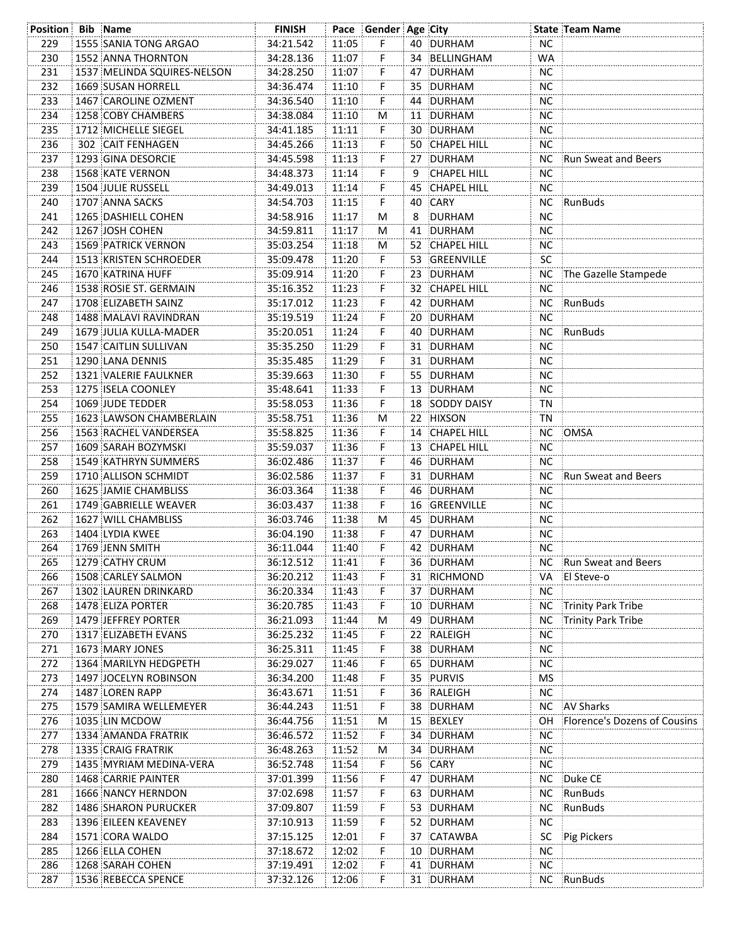| <b>Position Bib Name</b> |                             | <b>FINISH</b> |       | Pace Gender Age City |    |                    |           | <b>State Team Name</b>       |
|--------------------------|-----------------------------|---------------|-------|----------------------|----|--------------------|-----------|------------------------------|
| 229                      | 1555 SANIA TONG ARGAO       | 34:21.542     | 11:05 | F.                   |    | 40 DURHAM          | <b>NC</b> |                              |
| 230                      | 1552 ANNA THORNTON          | 34:28.136     | 11:07 | F                    |    | 34 BELLINGHAM      | WA        |                              |
| 231                      | 1537 MELINDA SQUIRES-NELSON | 34:28.250     | 11:07 | F                    |    | 47 DURHAM          | <b>NC</b> |                              |
| 232                      | 1669 SUSAN HORRELL          | 34:36.474     | 11:10 | F                    |    | 35 DURHAM          | <b>NC</b> |                              |
| 233                      | 1467 CAROLINE OZMENT        | 34:36.540     | 11:10 | F                    |    | 44 DURHAM          | <b>NC</b> |                              |
| 234                      | 1258 COBY CHAMBERS          | 34:38.084     | 11:10 | M                    |    | 11 DURHAM          | <b>NC</b> |                              |
| 235                      | 1712 MICHELLE SIEGEL        | 34:41.185     | 11:11 |                      |    | 30 DURHAM          | <b>NC</b> |                              |
| 236                      | 302 CAIT FENHAGEN           | 34:45.266     | 11:13 | F                    |    | 50 CHAPEL HILL     | NC.       |                              |
| 237                      | 1293 GINA DESORCIE          | 34:45.598     | 11:13 | F.                   |    | 27 DURHAM          |           | NC Run Sweat and Beers       |
| 238                      | 1568 KATE VERNON            | 34:48.373     | 11:14 | F                    | 9  | <b>CHAPEL HILL</b> | NC.       |                              |
| 239                      | 1504 JULIE RUSSELL          | 34:49.013     | 11:14 | F                    |    | 45 CHAPEL HILL     | NC.       |                              |
| 240                      | 1707 ANNA SACKS             | 34:54.703     | 11:15 | F                    |    | 40 CARY            | <b>NC</b> | RunBuds                      |
| 241                      | 1265 DASHIELL COHEN         | 34:58.916     | 11:17 | м                    | 8  | DURHAM             | <b>NC</b> |                              |
| 242                      | 1267 JOSH COHEN             | 34:59.811     | 11:17 | M                    |    | 41 DURHAM          | <b>NC</b> |                              |
| 243                      | <b>1569 PATRICK VERNON</b>  | 35:03.254     | 11:18 | M                    |    | 52 CHAPEL HILL     | <b>NC</b> |                              |
| 244                      | 1513 KRISTEN SCHROEDER      | 35:09.478     | 11:20 | F.                   |    | 53 GREENVILLE      | <b>SC</b> |                              |
| 245                      | 1670 KATRINA HUFF           | 35:09.914     | 11:20 | F                    |    | 23 DURHAM          |           | NC The Gazelle Stampede      |
| 246                      | 1538 ROSIE ST. GERMAIN      | 35:16.352     | 11:23 | F                    |    | 32 CHAPEL HILL     | NC.       |                              |
| 247                      | 1708 ELIZABETH SAINZ        | 35:17.012     | 11:23 | F                    |    | 42 DURHAM          |           | NC RunBuds                   |
| 248                      | 1488 MALAVI RAVINDRAN       | 35:19.519     | 11:24 | F.                   |    | 20 DURHAM          | NC.       |                              |
| 249                      | 1679 JULIA KULLA-MADER      | 35:20.051     | 11:24 | F                    |    | 40 DURHAM          |           | NC RunBuds                   |
| 250                      | 1547 CAITLIN SULLIVAN       | 35:35.250     | 11:29 | F                    |    | 31 DURHAM          | <b>NC</b> |                              |
| 251                      | 1290 LANA DENNIS            | 35:35.485     | 11:29 | F                    |    | 31 DURHAM          | <b>NC</b> |                              |
| 252                      | 1321 VALERIE FAULKNER       | 35:39.663     | 11:30 | F                    |    | 55 DURHAM          | NC.       |                              |
| 253                      | 1275 ISELA COONLEY          | 35:48.641     | 11:33 | F                    |    | 13 DURHAM          | NC.       |                              |
| 254                      | 1069 JUDE TEDDER            | 35:58.053     | 11:36 | F.                   |    | 18 SODDY DAISY     | ΤN        |                              |
| 255                      | 1623 LAWSON CHAMBERLAIN     | 35:58.751     | 11:36 |                      |    | 22 HIXSON          | ΤN        |                              |
| 256                      | 1563 RACHEL VANDERSEA       | 35:58.825     | 11:36 | M<br>F               |    | 14 CHAPEL HILL     |           | NC OMSA                      |
|                          |                             |               |       |                      |    |                    | <b>NC</b> |                              |
| 257                      | 1609 SARAH BOZYMSKI         | 35:59.037     | 11:36 | F                    |    | 13 CHAPEL HILL     | <b>NC</b> |                              |
| 258                      | 1549 KATHRYN SUMMERS        | 36:02.486     | 11:37 | F                    |    | 46 DURHAM          |           |                              |
| 259                      | 1710 ALLISON SCHMIDT        | 36:02.586     | 11:37 | F                    |    | 31 DURHAM          |           | NC Run Sweat and Beers       |
| 260                      | 1625 JAMIE CHAMBLISS        | 36:03.364     | 11:38 | F                    |    | 46 DURHAM          | NC.       |                              |
| 261                      | 1749 GABRIELLE WEAVER       | 36:03.437     | 11:38 | F                    |    | 16 GREENVILLE      | <b>NC</b> |                              |
| 262                      | 1627 WILL CHAMBLISS         | 36:03.746     | 11:38 | M                    |    | 45 DURHAM          | <b>NC</b> |                              |
| 263                      | 1404 LYDIA KWEE             | 36:04.190     | 11:38 | F.                   |    | 47 DURHAM          | <b>NC</b> |                              |
| 264                      | 1769 JENN SMITH             | 36:11.044     | 11:40 | F                    |    | 42 DURHAM          | <b>NC</b> |                              |
| 265                      | 1279 CATHY CRUM             | 36:12.512     | 11:41 | F                    |    | 36 DURHAM          |           | NC Run Sweat and Beers       |
| 266                      | 1508 CARLEY SALMON          | 36:20.212     | 11:43 | F                    |    | 31 RICHMOND        |           | VA El Steve-o                |
| 267                      | 1302 LAUREN DRINKARD        | 36:20.334     | 11:43 | F                    |    | 37 DURHAM          | <b>NC</b> |                              |
| 268                      | 1478 ELIZA PORTER           | 36:20.785     | 11:43 | F                    |    | 10 DURHAM          |           | NC Trinity Park Tribe        |
| 269                      | 1479 JEFFREY PORTER         | 36:21.093     | 11:44 | М                    |    | 49 DURHAM          | <b>NC</b> | Trinity Park Tribe           |
| 270                      | 1317 ELIZABETH EVANS        | 36:25.232     | 11:45 | F                    |    | 22 RALEIGH         | <b>NC</b> |                              |
| 271                      | 1673 MARY JONES             | 36:25.311     | 11:45 | F                    |    | 38 DURHAM          | NC        |                              |
| 272                      | 1364 MARILYN HEDGPETH       | 36:29.027     | 11:46 | F                    |    | 65 DURHAM          | NC        |                              |
| 273                      | 1497 JOCELYN ROBINSON       | 36:34.200     | 11:48 | F                    |    | 35 PURVIS          | <b>MS</b> |                              |
| 274                      | 1487 LOREN RAPP             | 36:43.671     | 11:51 | F                    | 36 | RALEIGH            | NC        |                              |
| 275                      | 1579 SAMIRA WELLEMEYER      | 36:44.243     | 11:51 | F                    |    | 38 DURHAM          | <b>NC</b> | <b>AV Sharks</b>             |
| 276                      | 1035 LIN MCDOW              | 36:44.756     | 11:51 | М                    |    | 15 BEXLEY          | OH        | Florence's Dozens of Cousins |
| 277                      | 1334 AMANDA FRATRIK         | 36:46.572     | 11:52 | F                    |    | 34 DURHAM          | NC        |                              |
| 278                      | 1335 CRAIG FRATRIK          | 36:48.263     | 11:52 | М                    |    | 34 DURHAM          | NC        |                              |
| 279                      | 1435 MYRIAM MEDINA-VERA     | 36:52.748     | 11:54 | F                    |    | 56 CARY            | <b>NC</b> |                              |
| 280                      | 1468 CARRIE PAINTER         | 37:01.399     | 11:56 | F                    |    | 47 DURHAM          | <b>NC</b> | Duke CE                      |
| 281                      | 1666 NANCY HERNDON          | 37:02.698     | 11:57 | F                    |    | 63 DURHAM          | <b>NC</b> | RunBuds                      |
| 282                      | <b>1486 SHARON PURUCKER</b> | 37:09.807     | 11:59 | F                    |    | 53 DURHAM          | <b>NC</b> | RunBuds                      |
| 283                      | 1396 EILEEN KEAVENEY        | 37:10.913     | 11:59 | F                    |    | 52 DURHAM          | <b>NC</b> |                              |
| 284                      | 1571 CORA WALDO             | 37:15.125     | 12:01 | F                    |    | 37 CATAWBA         | SC        | Pig Pickers                  |
| 285                      | 1266 ELLA COHEN             | 37:18.672     | 12:02 | F                    |    | 10 DURHAM          | <b>NC</b> |                              |
| 286                      | 1268 SARAH COHEN            | 37:19.491     | 12:02 | F                    |    | 41 DURHAM          | <b>NC</b> |                              |
| 287                      | 1536 REBECCA SPENCE         | 37:32.126     | 12:06 | F                    |    | 31 DURHAM          |           | NC RunBuds                   |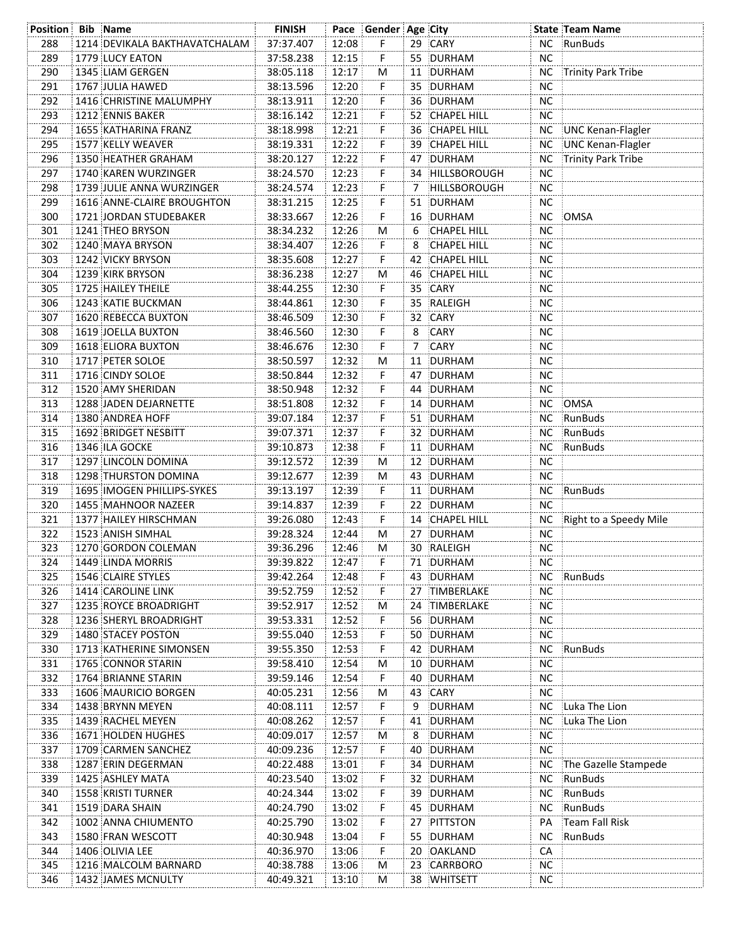| <b>Position Bib Name</b> |                               | <b>FINISH</b> |       | Pace Gender Age City |    |                    |           | <b>State Team Name</b>    |
|--------------------------|-------------------------------|---------------|-------|----------------------|----|--------------------|-----------|---------------------------|
| 288                      | 1214 DEVIKALA BAKTHAVATCHALAM | 37:37.407     | 12:08 | F.                   |    | 29 CARY            |           | NC RunBuds                |
| 289                      | 1779 LUCY EATON               | 37:58.238     | 12:15 | F                    |    | 55 DURHAM          | <b>NC</b> |                           |
| 290                      | 1345 LIAM GERGEN              | 38:05.118     | 12:17 | M                    |    | 11 DURHAM          |           | NC Trinity Park Tribe     |
| 291                      | 1767 JULIA HAWED              | 38:13.596     | 12:20 | F.                   |    | 35 DURHAM          | <b>NC</b> |                           |
| 292                      | 1416 CHRISTINE MALUMPHY       | 38:13.911     | 12:20 | F                    |    | 36 DURHAM          | <b>NC</b> |                           |
| 293                      | 1212 ENNIS BAKER              | 38:16.142     | 12:21 | F                    |    | 52 CHAPEL HILL     | <b>NC</b> |                           |
| 294                      | 1655 KATHARINA FRANZ          | 38:18.998     | 12:21 | F                    |    | 36 CHAPEL HILL     |           | NC UNC Kenan-Flagler      |
| 295                      | 1577 KELLY WEAVER             | 38:19.331     | 12:22 | F                    |    | 39 CHAPEL HILL     | NС        | UNC Kenan-Flagler         |
| 296                      | 1350 HEATHER GRAHAM           | 38:20.127     | 12:22 | F.                   |    | 47 DURHAM          | <b>NC</b> | Trinity Park Tribe        |
| 297                      | 1740 KAREN WURZINGER          | 38:24.570     | 12:23 | F.                   |    | 34 HILLSBOROUGH    | <b>NC</b> |                           |
| 298                      | 1739 JULIE ANNA WURZINGER     | 38:24.574     | 12:23 | F.                   | 7  | HILLSBOROUGH       | <b>NC</b> |                           |
| 299                      | 1616 ANNE-CLAIRE BROUGHTON    | 38:31.215     | 12:25 | F.                   |    | 51 DURHAM          | NC        |                           |
| 300                      | 1721 JORDAN STUDEBAKER        | 38:33.667     | 12:26 | F                    |    | 16 DURHAM          | <b>NC</b> | OMSA                      |
| 301                      | 1241 THEO BRYSON              | 38:34.232     | 12:26 | М                    | 6  | <b>CHAPEL HILL</b> | <b>NC</b> |                           |
| 302                      | 1240 MAYA BRYSON              | 38:34.407     | 12:26 | F.                   | 8  | CHAPEL HILL        | <b>NC</b> |                           |
| 303                      | 1242 VICKY BRYSON             | 38:35.608     | 12:27 | F.                   | 42 | CHAPEL HILL        | NС        |                           |
| 304                      | 1239 KIRK BRYSON              | 38:36.238     | 12:27 | М                    |    | 46 CHAPEL HILL     | NС        |                           |
| 305                      | 1725 HAILEY THEILE            | 38:44.255     | 12:30 | F.                   |    | 35 CARY            | <b>NC</b> |                           |
| 306                      | 1243 KATIE BUCKMAN            |               | 12:30 | F.                   |    | 35 RALEIGH         | <b>NC</b> |                           |
|                          |                               | 38:44.861     |       |                      |    |                    |           |                           |
| 307                      | 1620 REBECCA BUXTON           | 38:46.509     | 12:30 | F.                   |    | 32 CARY            | NС        |                           |
| 308                      | 1619 JOELLA BUXTON            | 38:46.560     | 12:30 | F.                   | 8  | CARY               | NС        |                           |
| 309                      | 1618 ELIORA BUXTON            | 38:46.676     | 12:30 | F.                   | 7  | CARY               | <b>NC</b> |                           |
| 310                      | 1717 PETER SOLOE              | 38:50.597     | 12:32 | М                    |    | 11 DURHAM          | <b>NC</b> |                           |
| 311                      | 1716 CINDY SOLOE              | 38:50.844     | 12:32 | F.                   |    | 47 DURHAM          | NС        |                           |
| 312                      | 1520 AMY SHERIDAN             | 38:50.948     | 12:32 | F.                   |    | 44 DURHAM          | NС        |                           |
| 313                      | 1288 JADEN DEJARNETTE         | 38:51.808     | 12:32 | F.                   |    | 14 DURHAM          |           | NC OMSA                   |
| 314                      | 1380 ANDREA HOFF              | 39:07.184     | 12:37 | F                    |    | 51 DURHAM          |           | NC RunBuds                |
| 315                      | 1692 BRIDGET NESBITT          | 39:07.371     | 12:37 | F                    |    | 32 DURHAM          |           | NC RunBuds                |
| 316                      | 1346 ILA GOCKE                | 39:10.873     | 12:38 | F.                   |    | 11 DURHAM          |           | NC RunBuds                |
| 317                      | 1297 LINCOLN DOMINA           | 39:12.572     | 12:39 | М                    |    | 12 DURHAM          | <b>NC</b> |                           |
| 318                      | 1298 THURSTON DOMINA          | 39:12.677     | 12:39 | M                    |    | 43 DURHAM          | <b>NC</b> |                           |
| 319                      | 1695 IMOGEN PHILLIPS-SYKES    | 39:13.197     | 12:39 | F.                   |    | 11 DURHAM          | NC .      | RunBuds                   |
| 320                      | 1455 MAHNOOR NAZEER           | 39:14.837     | 12:39 | F.                   |    | 22 DURHAM          | <b>NC</b> |                           |
| 321                      | 1377 HAILEY HIRSCHMAN         | 39:26.080     | 12:43 | F.                   |    | 14 CHAPEL HILL     |           | NC Right to a Speedy Mile |
| 322                      | 1523 ANISH SIMHAL             | 39:28.324     | 12:44 | M                    |    | 27 DURHAM          | <b>NC</b> |                           |
| 323                      | 1270 GORDON COLEMAN           | 39:36.296     | 12:46 | M                    |    | 30 RALEIGH         | $NC$      |                           |
| 324                      | 1449 LINDA MORRIS             | 39:39.822     | 12:47 | F                    |    | 71 DURHAM          | NC.       |                           |
| 325                      | 1546 CLAIRE STYLES            | 39:42.264     | 12:48 | F                    |    | 43 DURHAM          |           | NC RunBuds                |
| 326                      | 1414 CAROLINE LINK            | 39:52.759     | 12:52 | F                    |    | 27 TIMBERLAKE      | <b>NC</b> |                           |
| 327                      | 1235 ROYCE BROADRIGHT         | 39:52.917     | 12:52 | М                    |    | 24 TIMBERLAKE      | <b>NC</b> |                           |
| 328                      | 1236 SHERYL BROADRIGHT        | 39:53.331     | 12:52 | F.                   |    | 56 DURHAM          | <b>NC</b> |                           |
| 329                      | 1480 STACEY POSTON            | 39:55.040     | 12:53 | F.                   |    | 50 DURHAM          | <b>NC</b> |                           |
| 330                      | 1713 KATHERINE SIMONSEN       | 39:55.350     | 12:53 | F                    |    | 42 DURHAM          | <b>NC</b> | RunBuds                   |
| 331                      | 1765 CONNOR STARIN            | 39:58.410     | 12:54 | M                    |    | 10 DURHAM          | <b>NC</b> |                           |
| 332                      | 1764 BRIANNE STARIN           | 39:59.146     | 12:54 | F.                   | 40 | DURHAM             | <b>NC</b> |                           |
| 333                      | 1606 MAURICIO BORGEN          | 40:05.231     | 12:56 | M                    |    | 43 CARY            | <b>NC</b> |                           |
| 334                      | 1438 BRYNN MEYEN              | 40:08.111     | 12:57 | F.                   | 9  | DURHAM             | <b>NC</b> | Luka The Lion             |
| 335                      | 1439 RACHEL MEYEN             | 40:08.262     | 12:57 | F                    |    | 41 DURHAM          | NС        | Luka The Lion             |
| 336                      | <b>1671 HOLDEN HUGHES</b>     | 40:09.017     | 12:57 | M                    | 8  | DURHAM             | <b>NC</b> |                           |
| 337                      | 1709 CARMEN SANCHEZ           | 40:09.236     | 12:57 | F                    | 40 | DURHAM             | <b>NC</b> |                           |
| 338                      | 1287 ERIN DEGERMAN            | 40:22.488     | 13:01 | F                    |    | 34 DURHAM          | NС        | The Gazelle Stampede      |
| 339                      | 1425 ASHLEY MATA              | 40:23.540     | 13:02 | F                    |    | 32 DURHAM          | NC.       | RunBuds                   |
| 340                      | 1558 KRISTI TURNER            | 40:24.344     | 13:02 | F                    |    | 39 DURHAM          | <b>NC</b> | RunBuds                   |
| 341                      | 1519 DARA SHAIN               | 40:24.790     | 13:02 | F                    |    | 45 DURHAM          | NC        | RunBuds                   |
| 342                      | 1002 ANNA CHIUMENTO           | 40:25.790     | 13:02 | F                    |    | 27 PITTSTON        | PA        | Team Fall Risk            |
| 343                      | 1580 FRAN WESCOTT             | 40:30.948     | 13:04 | F                    |    | 55 DURHAM          | NC.       | RunBuds                   |
| 344                      | 1406 OLIVIA LEE               | 40:36.970     | 13:06 | F                    |    | 20 OAKLAND         | CA        |                           |
| 345                      | 1216 MALCOLM BARNARD          | 40:38.788     | 13:06 | M                    |    | 23 CARRBORO        | ΝC        |                           |
| 346                      | 1432 JAMES MCNULTY            | 40:49.321     | 13:10 | М                    |    | 38 WHITSETT        | NC.       |                           |
|                          |                               |               |       |                      |    |                    |           |                           |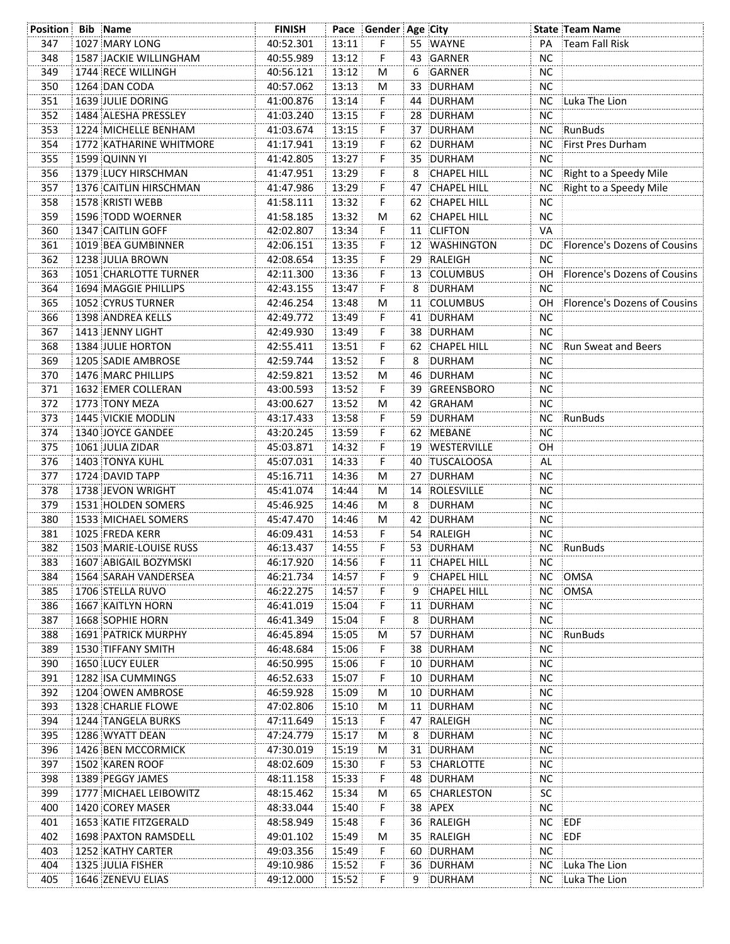| <b>Position Bib Name</b> |                            | <b>FINISH</b> |       | Pace Gender Age City |    |                    |           | <b>State Team Name</b>          |
|--------------------------|----------------------------|---------------|-------|----------------------|----|--------------------|-----------|---------------------------------|
| 347                      | 1027 MARY LONG             | 40:52.301     | 13:11 | F.                   |    | 55 WAYNE           | PA        | Team Fall Risk                  |
| 348                      | 1587 JACKIE WILLINGHAM     | 40:55.989     | 13:12 | F                    |    | 43 GARNER          | <b>NC</b> |                                 |
| 349                      | 1744 RECE WILLINGH         | 40:56.121     | 13:12 | М                    | 6  | GARNER             | NC        |                                 |
| 350                      | 1264 DAN CODA              | 40:57.062     | 13:13 | M                    |    | 33 DURHAM          | <b>NC</b> |                                 |
| 351                      | 1639 JULIE DORING          | 41:00.876     | 13:14 | F                    |    | 44 DURHAM          |           | NC Luka The Lion                |
| 352                      | 1484 ALESHA PRESSLEY       | 41:03.240     | 13:15 | F                    |    | 28 DURHAM          | <b>NC</b> |                                 |
| 353                      | 1224 MICHELLE BENHAM       | 41:03.674     | 13:15 | F                    |    | 37 DURHAM          |           | NC RunBuds                      |
| 354                      | 1772 KATHARINE WHITMORE    | 41:17.941     | 13:19 | F                    |    | 62 DURHAM          | ΝC        | First Pres Durham               |
| 355                      | 1599 QUINN YI              | 41:42.805     | 13:27 | F.                   |    | 35 DURHAM          | <b>NC</b> |                                 |
| 356                      | 1379 LUCY HIRSCHMAN        | 41:47.951     | 13:29 | F                    | 8  | <b>CHAPEL HILL</b> |           | NC Right to a Speedy Mile       |
|                          |                            |               |       | F                    |    |                    | <b>NC</b> | Right to a Speedy Mile          |
| 357                      | 1376 CAITLIN HIRSCHMAN     | 41:47.986     | 13:29 |                      |    | 47 CHAPEL HILL     |           |                                 |
| 358                      | 1578 KRISTI WEBB           | 41:58.111     | 13:32 | F                    |    | 62 CHAPEL HILL     | <b>NC</b> |                                 |
| 359                      | 1596 TODD WOERNER          | 41:58.185     | 13:32 | М                    |    | 62 CHAPEL HILL     | <b>NC</b> |                                 |
| 360                      | 1347 CAITLIN GOFF          | 42:02.807     | 13:34 | F.                   |    | 11 CLIFTON         | VA        |                                 |
| 361                      | 1019 BEA GUMBINNER         | 42:06.151     | 13:35 | F                    |    | 12 WASHINGTON      |           | DC Florence's Dozens of Cousins |
| 362                      | 1238 JULIA BROWN           | 42:08.654     | 13:35 | F                    |    | 29 RALEIGH         | NC.       |                                 |
| 363                      | 1051 CHARLOTTE TURNER      | 42:11.300     | 13:36 | F                    |    | 13 COLUMBUS        |           | OH Florence's Dozens of Cousins |
| 364                      | 1694 MAGGIE PHILLIPS       | 42:43.155     | 13:47 | F                    | 8  | DURHAM             | NC.       |                                 |
| 365                      | 1052 CYRUS TURNER          | 42:46.254     | 13:48 | M                    |    | 11 COLUMBUS        |           | OH Florence's Dozens of Cousins |
| 366                      | 1398 ANDREA KELLS          | 42:49.772     | 13:49 | F.                   |    | 41 DURHAM          | NC.       |                                 |
| 367                      | 1413 JENNY LIGHT           | 42:49.930     | 13:49 | F                    |    | 38 DURHAM          | NС        |                                 |
| 368                      | 1384 JULIE HORTON          | 42:55.411     | 13:51 | F                    |    | 62 CHAPEL HILL     | <b>NC</b> | Run Sweat and Beers             |
| 369                      | 1205 SADIE AMBROSE         | 42:59.744     | 13:52 | F                    | 8  | DURHAM             | <b>NC</b> |                                 |
| 370                      | 1476 MARC PHILLIPS         | 42:59.821     | 13:52 | М                    |    | 46 DURHAM          | NC.       |                                 |
| 371                      | 1632 EMER COLLERAN         | 43:00.593     | 13:52 | F.                   | 39 | GREENSBORO         | NC.       |                                 |
| 372                      | 1773 TONY MEZA             | 43:00.627     | 13:52 | М                    |    | 42 GRAHAM          | NC.       |                                 |
| 373                      | 1445 VICKIE MODLIN         | 43:17.433     | 13:58 | F                    |    | 59 DURHAM          |           | NC RunBuds                      |
| 374                      | 1340 JOYCE GANDEE          | 43:20.245     | 13:59 | F                    |    | 62 MEBANE          | NC        |                                 |
| 375                      | 1061 JULIA ZIDAR           | 45:03.871     | 14:32 | F                    |    | 19 WESTERVILLE     | OН        |                                 |
| 376                      | 1403 TONYA KUHL            | 45:07.031     | 14:33 | F                    |    | 40 TUSCALOOSA      | AL        |                                 |
| 377                      | 1724 DAVID TAPP            | 45:16.711     | 14:36 | M                    |    | 27 DURHAM          | <b>NC</b> |                                 |
| 378                      | 1738 JEVON WRIGHT          | 45:41.074     | 14:44 | М                    |    | 14 ROLESVILLE      | <b>NC</b> |                                 |
| 379                      | 1531 HOLDEN SOMERS         | 45:46.925     | 14:46 | M                    | 8  | DURHAM             | <b>NC</b> |                                 |
| 380                      | 1533 MICHAEL SOMERS        | 45:47.470     | 14:46 | M                    |    | 42 DURHAM          | <b>NC</b> |                                 |
| 381                      | 1025 FREDA KERR            | 46:09.431     | 14:53 | F.                   |    | 54 RALEIGH         | <b>NC</b> |                                 |
| 382                      | 1503 MARIE-LOUISE RUSS     | 46:13.437     | 14:55 | F                    |    | 53 DURHAM          |           | NC RunBuds                      |
| 383                      | 1607 ABIGAIL BOZYMSKI      | 46:17.920     | 14:56 | F                    |    | 11 CHAPEL HILL     | <b>NC</b> |                                 |
| 384                      | 1564 SARAH VANDERSEA       | 46:21.734     | 14:57 | F                    | 9  | <b>CHAPEL HILL</b> |           | NC OMSA                         |
|                          | 1706 STELLA RUVO           | 46:22.275     | 14:57 |                      |    | <b>CHAPEL HILL</b> |           |                                 |
| 385                      |                            | 46:41.019     |       | F                    | 9  |                    |           | NC OMSA                         |
| 386                      | 1667 KAITLYN HORN          |               | 15:04 | F                    |    | 11 DURHAM          | <b>NC</b> |                                 |
| 387                      | 1668 SOPHIE HORN           | 46:41.349     | 15:04 | F                    | 8  | DURHAM             | <b>NC</b> |                                 |
| 388                      | <b>1691 PATRICK MURPHY</b> | 46:45.894     | 15:05 | М                    |    | 57 DURHAM          |           | NC RunBuds                      |
| 389                      | 1530 TIFFANY SMITH         | 46:48.684     | 15:06 | F                    |    | 38 DURHAM          | <b>NC</b> |                                 |
| 390                      | <b>1650 LUCY EULER</b>     | 46:50.995     | 15:06 | F                    |    | 10 DURHAM          | <b>NC</b> |                                 |
| 391                      | 1282 ISA CUMMINGS          | 46:52.633     | 15:07 | F                    |    | 10 DURHAM          | <b>NC</b> |                                 |
| 392                      | 1204 OWEN AMBROSE          | 46:59.928     | 15:09 | М                    |    | 10 DURHAM          | <b>NC</b> |                                 |
| 393                      | 1328 CHARLIE FLOWE         | 47:02.806     | 15:10 | М                    |    | 11 DURHAM          | <b>NC</b> |                                 |
| 394                      | 1244 TANGELA BURKS         | 47:11.649     | 15:13 | F                    |    | 47 RALEIGH         | <b>NC</b> |                                 |
| 395                      | 1286 WYATT DEAN            | 47:24.779     | 15:17 | М                    | 8  | DURHAM             | NC.       |                                 |
| 396                      | 1426 BEN MCCORMICK         | 47:30.019     | 15:19 | М                    |    | 31 DURHAM          | <b>NC</b> |                                 |
| 397                      | 1502 KAREN ROOF            | 48:02.609     | 15:30 | F                    |    | 53 CHARLOTTE       | NC.       |                                 |
| 398                      | 1389 PEGGY JAMES           | 48:11.158     | 15:33 | F                    |    | 48 DURHAM          | NС        |                                 |
| 399                      | 1777 MICHAEL LEIBOWITZ     | 48:15.462     | 15:34 | М                    |    | 65 CHARLESTON      | <b>SC</b> |                                 |
| 400                      | 1420 COREY MASER           | 48:33.044     | 15:40 | F                    |    | 38 APEX            | <b>NC</b> |                                 |
| 401                      | 1653 KATIE FITZGERALD      | 48:58.949     | 15:48 | F                    |    | 36 RALEIGH         | ΝC        | EDF                             |
| 402                      | 1698 PAXTON RAMSDELL       | 49:01.102     | 15:49 | м                    |    | 35 RALEIGH         | NС        | :EDF                            |
| 403                      | 1252 KATHY CARTER          | 49:03.356     | 15:49 | F                    |    | 60 DURHAM          | NC.       |                                 |
| 404                      | 1325 JULIA FISHER          | 49:10.986     | 15:52 | F                    |    | 36 DURHAM          | NС        | Luka The Lion                   |
| 405                      | 1646 ZENEVU ELIAS          | 49:12.000     | 15:52 | F                    | 9  | DURHAM             |           | NC Luka The Lion                |
|                          |                            |               |       |                      |    |                    |           |                                 |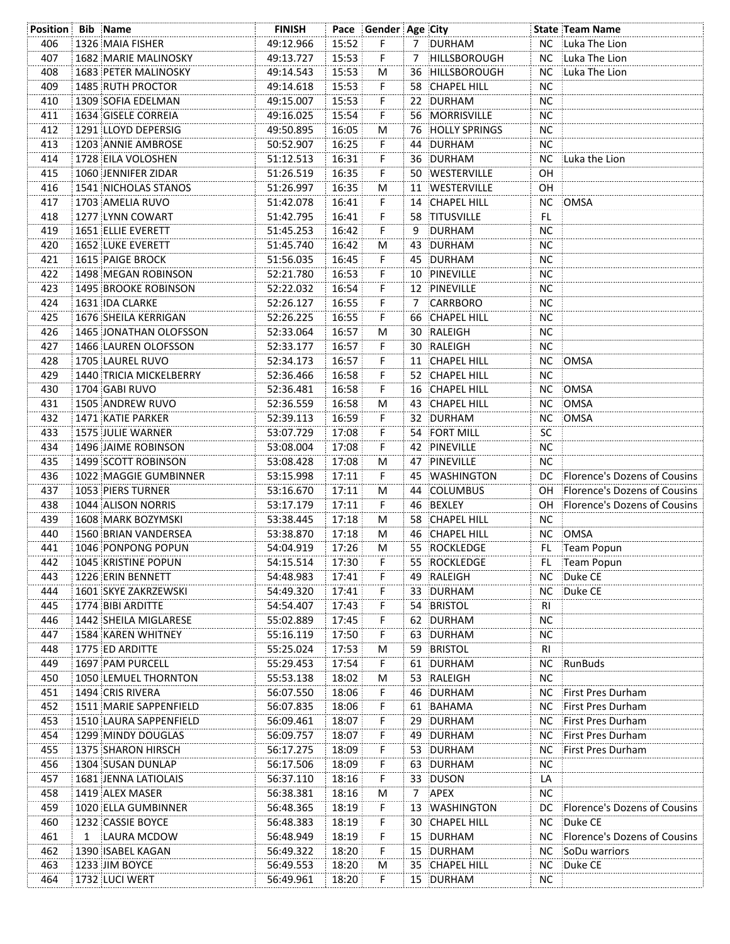| <b>Position Bib Name</b> |   |                             | <b>FINISH</b> |       | Pace Gender Age City |   |                  |                | <b>State Team Name</b>          |
|--------------------------|---|-----------------------------|---------------|-------|----------------------|---|------------------|----------------|---------------------------------|
| 406                      |   | 1326 MAIA FISHER            | 49:12.966     | 15:52 | F                    |   | 7 DURHAM         |                | NC Luka The Lion                |
| 407                      |   | 1682 MARIE MALINOSKY        | 49:13.727     | 15:53 | F                    |   | 7 HILLSBOROUGH   | NC             | Luka The Lion                   |
| 408                      |   | 1683 PETER MALINOSKY        | 49:14.543     | 15:53 | M                    |   | 36 HILLSBOROUGH  | NC             | Luka The Lion                   |
| 409                      |   | 1485 RUTH PROCTOR           | 49:14.618     | 15:53 | F                    |   | 58 CHAPEL HILL   | <b>NC</b>      |                                 |
| 410                      |   | 1309 SOFIA EDELMAN          | 49:15.007     | 15:53 | F                    |   | 22 DURHAM        | NC.            |                                 |
| 411                      |   | 1634 GISELE CORREIA         | 49:16.025     | 15:54 | F                    |   | 56 MORRISVILLE   | <b>NC</b>      |                                 |
| 412                      |   | 1291 LLOYD DEPERSIG         | 49:50.895     | 16:05 | M                    |   | 76 HOLLY SPRINGS | <b>NC</b>      |                                 |
| 413                      |   | 1203 ANNIE AMBROSE          | 50:52.907     | 16:25 | F                    |   | 44 DURHAM        | <b>NC</b>      |                                 |
| 414                      |   | 1728 EILA VOLOSHEN          | 51:12.513     | 16:31 | F                    |   | 36 DURHAM        |                | NC Luka the Lion                |
| 415                      |   | 1060 JENNIFER ZIDAR         | 51:26.519     | 16:35 | F.                   |   | 50 WESTERVILLE   | OH             |                                 |
| 416                      |   | <b>1541 NICHOLAS STANOS</b> | 51:26.997     | 16:35 | M                    |   | 11 WESTERVILLE   | OH             |                                 |
| 417                      |   | 1703 AMELIA RUVO            | 51:42.078     | 16:41 | F.                   |   | 14 CHAPEL HILL   | NC             | OMSA                            |
| 418                      |   | 1277 LYNN COWART            | 51:42.795     | 16:41 | F.                   |   | 58 TITUSVILLE    | FL.            |                                 |
| 419                      |   | 1651 ELLIE EVERETT          | 51:45.253     | 16:42 | F.                   |   | 9 DURHAM         | <b>NC</b>      |                                 |
| 420                      |   | 1652 LUKE EVERETT           | 51:45.740     | 16:42 | м                    |   | 43 DURHAM        | <b>NC</b>      |                                 |
| 421                      |   | 1615 PAIGE BROCK            | 51:56.035     | 16:45 | F.                   |   | 45 DURHAM        | <b>NC</b>      |                                 |
| 422                      |   | 1498 MEGAN ROBINSON         | 52:21.780     | 16:53 | F.                   |   | 10 PINEVILLE     | <b>NC</b>      |                                 |
| 423                      |   | <b>1495 BROOKE ROBINSON</b> | 52:22.032     | 16:54 | F.                   |   | 12 PINEVILLE     | <b>NC</b>      |                                 |
| 424                      |   | 1631 IDA CLARKE             | 52:26.127     | 16:55 | F.                   | 7 | CARRBORO         | <b>NC</b>      |                                 |
| 425                      |   | 1676 SHEILA KERRIGAN        | 52:26.225     | 16:55 | F.                   |   | 66 CHAPEL HILL   | NC.            |                                 |
| 426                      |   | 1465 JONATHAN OLOFSSON      | 52:33.064     | 16:57 | м                    |   | 30 RALEIGH       | NC.            |                                 |
| 427                      |   | 1466 LAUREN OLOFSSON        | 52:33.177     | 16:57 | F.                   |   | 30 RALEIGH       | <b>NC</b>      |                                 |
| 428                      |   | 1705 LAUREL RUVO            | 52:34.173     | 16:57 | F.                   |   | 11 CHAPEL HILL   | NC             | OMSA                            |
| 429                      |   | 1440 TRICIA MICKELBERRY     | 52:36.466     | 16:58 | F.                   |   | 52 CHAPEL HILL   | NС             |                                 |
| 430                      |   | 1704 GABI RUVO              | 52:36.481     | 16:58 | F.                   |   | 16 CHAPEL HILL   | NC.            | OMSA                            |
| 431                      |   | 1505 ANDREW RUVO            | 52:36.559     | 16:58 | м                    |   | 43 CHAPEL HILL   | NC.            | OMSA                            |
| 432                      |   | 1471 KATIE PARKER           | 52:39.113     | 16:59 | F.                   |   | 32 DURHAM        | NC.            | :OMSA                           |
| 433                      |   | 1575 JULIE WARNER           | 53:07.729     | 17:08 | F.                   |   | 54 FORT MILL     | SC             |                                 |
| 434                      |   | 1496 JAIME ROBINSON         | 53:08.004     | 17:08 | F.                   |   | 42 PINEVILLE     | NC.            |                                 |
| 435                      |   | 1499 SCOTT ROBINSON         | 53:08.428     | 17:08 | м                    |   | 47 PINEVILLE     | NC.            |                                 |
| 436                      |   | 1022 MAGGIE GUMBINNER       | 53:15.998     | 17:11 | F.                   |   | 45 WASHINGTON    |                | DC Florence's Dozens of Cousins |
| 437                      |   | 1053 PIERS TURNER           | 53:16.670     | 17:11 | M                    |   | 44 COLUMBUS      | OH             | Florence's Dozens of Cousins    |
| 438                      |   | 1044 ALISON NORRIS          | 53:17.179     | 17:11 | F.                   |   | 46 BEXLEY        | OH.            | Florence's Dozens of Cousins    |
| 439                      |   | 1608 MARK BOZYMSKI          | 53:38.445     | 17:18 | М                    |   | 58 CHAPEL HILL   | <b>NC</b>      |                                 |
| 440                      |   | 1560 BRIAN VANDERSEA        | 53:38.870     | 17:18 | м                    |   | 46 CHAPEL HILL   |                | NC OMSA                         |
| 441                      |   | 1046 PONPONG POPUN          | 54:04.919     | 17:26 | м                    |   | 55 ROCKLEDGE     |                | FL Team Popun                   |
| 442                      |   | 1045 KRISTINE POPUN         | 54:15.514     | 17:30 | F                    |   | 55 ROCKLEDGE     | FL             | Team Popun                      |
| 443                      |   | 1226 ERIN BENNETT           | 54:48.983     | 17:41 | F                    |   | 49 RALEIGH       |                | NC Duke CE                      |
| 444                      |   | 1601 SKYE ZAKRZEWSKI        | 54:49.320     | 17:41 | F                    |   | 33 DURHAM        | NC.            | Duke CE                         |
| 445                      |   | 1774 BIBI ARDITTE           | 54:54.407     | 17:43 | F                    |   | 54 BRISTOL       | R <sub>l</sub> |                                 |
| 446                      |   | 1442 SHEILA MIGLARESE       | 55:02.889     | 17:45 | F                    |   | 62 DURHAM        | <b>NC</b>      |                                 |
| 447                      |   | 1584 KAREN WHITNEY          | 55:16.119     | 17:50 | F                    |   | 63 DURHAM        | <b>NC</b>      |                                 |
| 448                      |   | 1775 ED ARDITTE             | 55:25.024     | 17:53 | M                    |   | 59 BRISTOL       | R <sub>l</sub> |                                 |
| 449                      |   | 1697 PAM PURCELL            | 55:29.453     | 17:54 | F.                   |   | 61 DURHAM        | <b>NC</b>      | RunBuds                         |
| 450                      |   | 1050 LEMUEL THORNTON        | 55:53.138     | 18:02 | M                    |   | 53 RALEIGH       | <b>NC</b>      |                                 |
| 451                      |   | 1494 CRIS RIVERA            | 56:07.550     | 18:06 | F.                   |   | 46 DURHAM        |                | NC First Pres Durham            |
| 452                      |   | 1511 MARIE SAPPENFIELD      | 56:07.835     | 18:06 | F                    |   | 61 BAHAMA        | <b>NC</b>      | First Pres Durham               |
| 453                      |   | 1510 LAURA SAPPENFIELD      | 56:09.461     | 18:07 | F                    |   | 29 DURHAM        | <b>NC</b>      | First Pres Durham               |
| 454                      |   | 1299 MINDY DOUGLAS          | 56:09.757     | 18:07 | F                    |   | 49 DURHAM        | <b>NC</b>      | First Pres Durham               |
| 455                      |   | 1375 SHARON HIRSCH          | 56:17.275     | 18:09 | F                    |   | 53 DURHAM        | <b>NC</b>      | First Pres Durham               |
| 456                      |   | 1304 SUSAN DUNLAP           | 56:17.506     | 18:09 | F                    |   | 63 DURHAM        | <b>NC</b>      |                                 |
| 457                      |   | 1681 JENNA LATIOLAIS        | 56:37.110     | 18:16 | F                    |   | 33 DUSON         | LA             |                                 |
| 458                      |   | 1419 ALEX MASER             | 56:38.381     | 18:16 | M                    | 7 | APEX             | <b>NC</b>      |                                 |
| 459                      |   | 1020 ELLA GUMBINNER         | 56:48.365     | 18:19 | F                    |   | 13 WASHINGTON    | DC.            | Florence's Dozens of Cousins    |
| 460                      |   | 1232 CASSIE BOYCE           | 56:48.383     | 18:19 | F                    |   | 30 CHAPEL HILL   | <b>NC</b>      | Duke CE                         |
| 461                      | 1 | LAURA MCDOW                 | 56:48.949     | 18:19 | F                    |   | 15 DURHAM        | NC.            | Florence's Dozens of Cousins    |
| 462                      |   | 1390 ISABEL KAGAN           | 56:49.322     | 18:20 | F                    |   | 15 DURHAM        | NC.            | SoDu warriors                   |
| 463                      |   | 1233 JIM BOYCE              | 56:49.553     | 18:20 | M                    |   | 35 CHAPEL HILL   | NC.            | Duke CE                         |
| 464                      |   | 1732 LUCI WERT              | 56:49.961     | 18:20 | F                    |   | 15 DURHAM        | NC.            |                                 |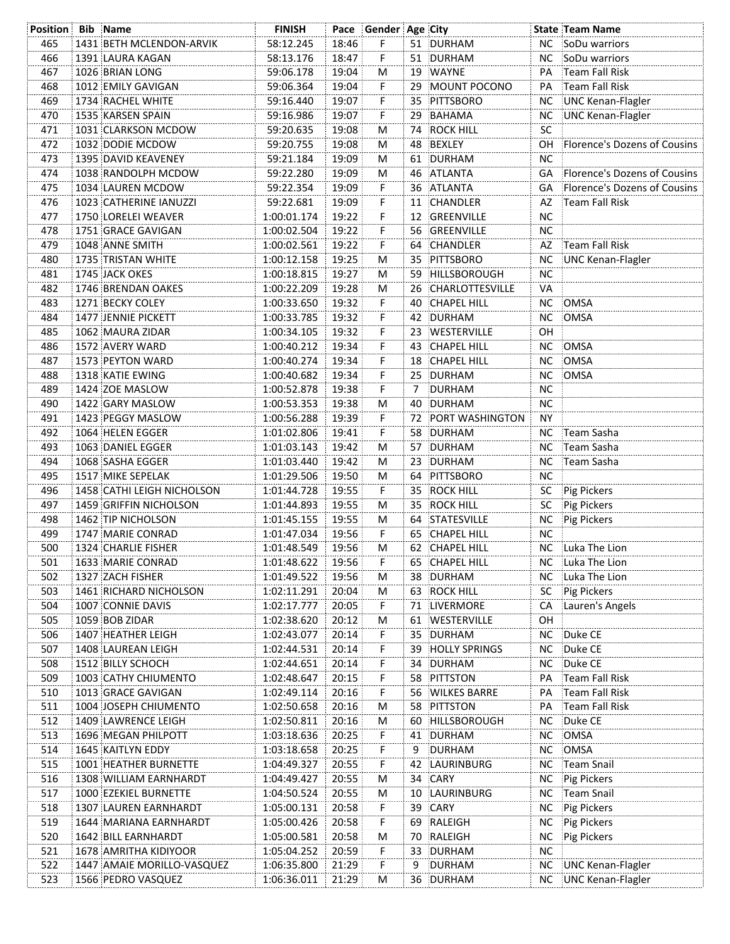| <b>Position Bib Name</b> |                            | <b>FINISH</b> |       | Pace Gender Age City |    |                      |           | <b>State Team Name</b>       |
|--------------------------|----------------------------|---------------|-------|----------------------|----|----------------------|-----------|------------------------------|
| 465                      | 1431 BETH MCLENDON-ARVIK   | 58:12.245     | 18:46 | F.                   |    | 51 DURHAM            |           | NC SoDu warriors             |
| 466                      | 1391 LAURA KAGAN           | 58:13.176     | 18:47 | F                    |    | 51 DURHAM            | ΝC        | SoDu warriors                |
| 467                      | 1026 BRIAN LONG            | 59:06.178     | 19:04 | M                    |    | 19 WAYNE             | PA        | Team Fall Risk               |
| 468                      | 1012 EMILY GAVIGAN         | 59:06.364     | 19:04 | F.                   |    | 29 MOUNT POCONO      | PА        | Team Fall Risk               |
| 469                      | 1734 RACHEL WHITE          | 59:16.440     | 19:07 | F                    |    | 35 PITTSBORO         | ΝC        | UNC Kenan-Flagler            |
| 470                      | 1535 KARSEN SPAIN          | 59:16.986     | 19:07 | F.                   |    | 29 BAHAMA            | NС        | UNC Kenan-Flagler            |
| 471                      | 1031 CLARKSON MCDOW        | 59:20.635     | 19:08 | м                    |    | 74 ROCK HILL         | SC        |                              |
| 472                      | 1032 DODIE MCDOW           | 59:20.755     | 19:08 | м                    |    | 48 BEXLEY            | OH        | Florence's Dozens of Cousins |
| 473                      | 1395 DAVID KEAVENEY        | 59:21.184     | 19:09 | М                    |    | 61 DURHAM            | <b>NC</b> |                              |
| 474                      | 1038 RANDOLPH MCDOW        | 59:22.280     | 19:09 | М                    |    | 46 ATLANTA           | GA        | Florence's Dozens of Cousins |
| 475                      | 1034 LAUREN MCDOW          | 59:22.354     | 19:09 | F.                   |    | 36 ATLANTA           | GA        | Florence's Dozens of Cousins |
| 476                      | 1023 CATHERINE IANUZZI     | 59:22.681     | 19:09 | F                    |    | 11 CHANDLER          | AZ        | Team Fall Risk               |
| 477                      | 1750 LORELEI WEAVER        | 1:00:01.174   | 19:22 | F                    |    | 12 GREENVILLE        | <b>NC</b> |                              |
| 478                      | 1751 GRACE GAVIGAN         | 1:00:02.504   | 19:22 | F.                   |    | 56 GREENVILLE        | <b>NC</b> |                              |
| 479                      | 1048 ANNE SMITH            | 1:00:02.561   | 19:22 | F.                   |    | 64 CHANDLER          | AZ        | Team Fall Risk               |
| 480                      | 1735 TRISTAN WHITE         | 1:00:12.158   | 19:25 | м                    |    | 35 PITTSBORO         | ΝC        | UNC Kenan-Flagler            |
| 481                      | 1745 JACK OKES             | 1:00:18.815   | 19:27 | M                    |    | 59 HILLSBOROUGH      | <b>NC</b> |                              |
| 482                      | 1746 BRENDAN OAKES         | 1:00:22.209   | 19:28 | M                    |    | 26 CHARLOTTESVILLE   | VA        |                              |
| 483                      | 1271 BECKY COLEY           | 1:00:33.650   | 19:32 | F.                   |    | 40 CHAPEL HILL       | NC        | OMSA                         |
| 484                      | 1477 JENNIE PICKETT        | 1:00:33.785   | 19:32 | F.                   |    | 42 DURHAM            | NC.       | OMSA                         |
| 485                      | 1062 MAURA ZIDAR           | 1:00:34.105   | 19:32 | F.                   |    | 23 WESTERVILLE       | OН        |                              |
| 486                      | 1572 AVERY WARD            | 1:00:40.212   | 19:34 | F.                   |    | 43 CHAPEL HILL       | NC        | OMSA                         |
| 487                      | 1573 PEYTON WARD           | 1:00:40.274   | 19:34 | F.                   |    | 18 CHAPEL HILL       | <b>NC</b> | OMSA                         |
| 488                      | 1318 KATIE EWING           | 1:00:40.682   | 19:34 | F                    |    | 25 DURHAM            | NC.       | <b>OMSA</b>                  |
| 489                      | 1424 ZOE MASLOW            | 1:00:52.878   | 19:38 | F                    | 7  | DURHAM               | NС        |                              |
| 490                      | 1422 GARY MASLOW           | 1:00:53.353   | 19:38 | м                    |    | 40 DURHAM            | <b>NC</b> |                              |
| 491                      | 1423 PEGGY MASLOW          | 1:00:56.288   | 19:39 | F.                   |    | 72 PORT WASHINGTON   | <b>NY</b> |                              |
| 492                      | 1064 HELEN EGGER           | 1:01:02.806   | 19:41 | F.                   |    | 58 DURHAM            |           | NC Team Sasha                |
| 493                      | 1063 DANIEL EGGER          | 1:01:03.143   | 19:42 | М                    |    | 57 DURHAM            | NC.       | Team Sasha                   |
| 494                      | 1068 SASHA EGGER           | 1:01:03.440   | 19:42 | M                    |    | 23 DURHAM            | NC.       | Team Sasha                   |
| 495                      | 1517 MIKE SEPELAK          | 1:01:29.506   | 19:50 | м                    |    | 64 PITTSBORO         | <b>NC</b> |                              |
| 496                      | 1458 CATHI LEIGH NICHOLSON | 1:01:44.728   | 19:55 | F.                   |    | 35 ROCK HILL         | <b>SC</b> | Pig Pickers                  |
| 497                      | 1459 GRIFFIN NICHOLSON     | 1:01:44.893   | 19:55 | М                    |    | 35 ROCK HILL         | <b>SC</b> | Pig Pickers                  |
| 498                      | 1462 TIP NICHOLSON         | 1:01:45.155   | 19:55 | М                    |    | 64 STATESVILLE       |           | NC Pig Pickers               |
| 499                      | 1747 MARIE CONRAD          | 1:01:47.034   | 19:56 | F.                   |    | 65 CHAPEL HILL       | <b>NC</b> |                              |
| 500                      | 1324 CHARLIE FISHER        | 1:01:48.549   | 19:56 | M                    |    | 62 CHAPEL HILL       |           | NC Luka The Lion             |
| 501                      | 1633 MARIE CONRAD          | 1:01:48.622   | 19:56 | F                    | 65 | <b>CHAPEL HILL</b>   | NC        | Luka The Lion                |
| 502                      | 1327 ZACH FISHER           | 1:01:49.522   | 19:56 | M                    |    | 38 DURHAM            |           | NC Luka The Lion             |
| 503                      | 1461 RICHARD NICHOLSON     | 1:02:11.291   | 20:04 | M                    |    | 63 ROCK HILL         | SC        | Pig Pickers                  |
| 504                      | 1007 CONNIE DAVIS          | 1:02:17.777   | 20:05 | F.                   |    | 71 LIVERMORE         | CA        | Lauren's Angels              |
| 505                      | 1059 BOB ZIDAR             | 1:02:38.620   | 20:12 | M                    |    | 61 WESTERVILLE       | OH        |                              |
| 506                      | 1407 HEATHER LEIGH         | 1:02:43.077   | 20:14 | F                    | 35 | DURHAM               | NC        | Duke CE                      |
| 507                      | 1408 LAUREAN LEIGH         | 1:02:44.531   | 20:14 | F                    | 39 | <b>HOLLY SPRINGS</b> | <b>NC</b> | Duke CE                      |
| 508                      | 1512 BILLY SCHOCH          | 1:02:44.651   | 20:14 | F                    |    | 34 DURHAM            | <b>NC</b> | Duke CE                      |
| 509                      | 1003 CATHY CHIUMENTO       | 1:02:48.647   | 20:15 | Ë                    | 58 | PITTSTON             | PA        | Team Fall Risk               |
| 510                      | 1013 GRACE GAVIGAN         | 1:02:49.114   | 20:16 | Ë                    | 56 | <b>WILKES BARRE</b>  | PA        | Team Fall Risk               |
| 511                      | 1004 JOSEPH CHIUMENTO      | 1:02:50.658   | 20:16 | M                    | 58 | PITTSTON             | PA        | Team Fall Risk               |
| 512                      | 1409 LAWRENCE LEIGH        | 1:02:50.811   | 20:16 | M                    | 60 | HILLSBOROUGH         | <b>NC</b> | Duke CE                      |
| 513                      | 1696 MEGAN PHILPOTT        | 1:03:18.636   | 20:25 | F                    |    | 41 DURHAM            | <b>NC</b> | OMSA                         |
| 514                      | 1645 KAITLYN EDDY          | 1:03:18.658   | 20:25 | F                    | 9  | DURHAM               | <b>NC</b> | OMSA                         |
| 515                      | 1001 HEATHER BURNETTE      | 1:04:49.327   | 20:55 | F                    | 42 | LAURINBURG           | NC.       | Team Snail                   |
| 516                      | 1308 WILLIAM EARNHARDT     | 1:04:49.427   | 20:55 | Μ                    |    | 34 CARY              | <b>NC</b> | Pig Pickers                  |
| 517                      | 1000 EZEKIEL BURNETTE      | 1:04:50.524   | 20:55 | M                    | 10 | LAURINBURG           | <b>NC</b> | Team Snail                   |
| 518                      | 1307 LAUREN EARNHARDT      | 1:05:00.131   | 20:58 | F                    | 39 | CARY                 | <b>NC</b> | Pig Pickers                  |
| 519                      | 1644 MARIANA EARNHARDT     | 1:05:00.426   | 20:58 | F                    | 69 | RALEIGH              | NC.       | Pig Pickers                  |
| 520                      | 1642 BILL EARNHARDT        | 1:05:00.581   | 20:58 | M                    | 70 | RALEIGH              | NC.       | Pig Pickers                  |
| 521                      | 1678 AMRITHA KIDIYOOR      | 1:05:04.252   | 20:59 | F                    |    | 33 DURHAM            | <b>NC</b> |                              |
| 522                      | 1447 AMAIE MORILLO-VASQUEZ | 1:06:35.800   | 21:29 | Ë                    | 9  | <b>DURHAM</b>        | <b>NC</b> | UNC Kenan-Flagler            |
| 523                      | 1566 PEDRO VASQUEZ         | 1:06:36.011   | 21:29 | M                    |    | 36 DURHAM            | NC        | UNC Kenan-Flagler            |